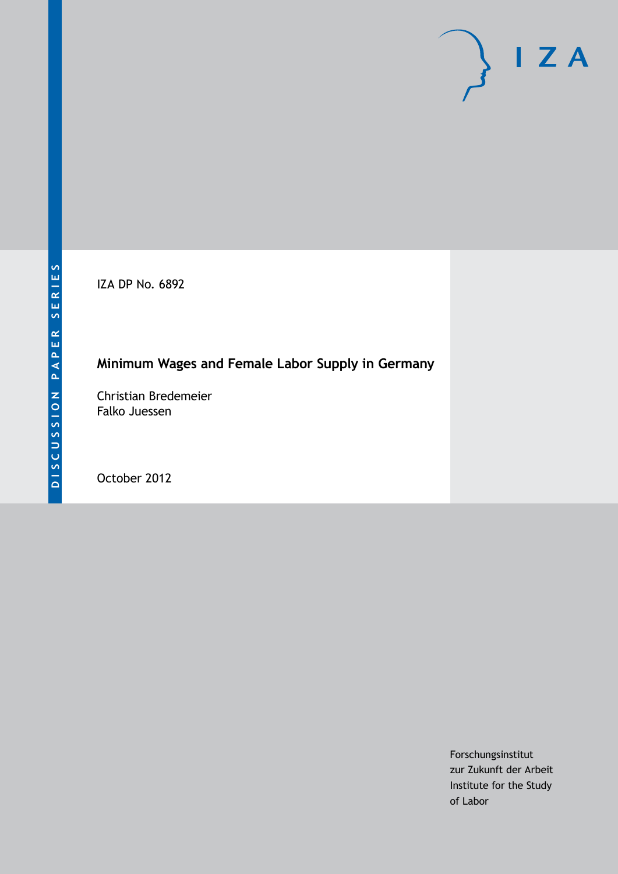IZA DP No. 6892

## **Minimum Wages and Female Labor Supply in Germany**

Christian Bredemeier Falko Juessen

October 2012

Forschungsinstitut zur Zukunft der Arbeit Institute for the Study of Labor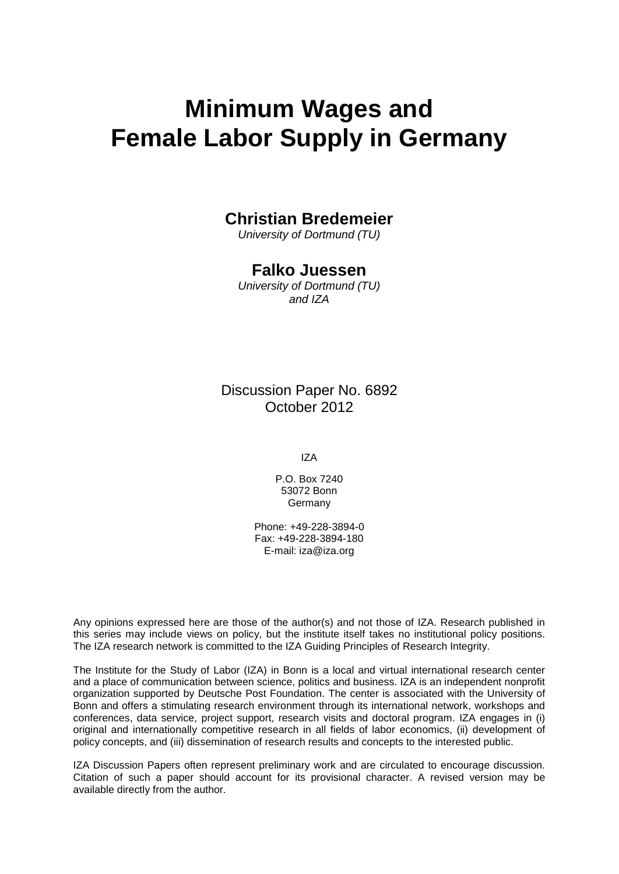# **Minimum Wages and Female Labor Supply in Germany**

## **Christian Bredemeier**

*University of Dortmund (TU)*

## **Falko Juessen**

*University of Dortmund (TU) and IZA*

Discussion Paper No. 6892 October 2012

IZA

P.O. Box 7240 53072 Bonn Germany

Phone: +49-228-3894-0 Fax: +49-228-3894-180 E-mail: [iza@iza.org](mailto:iza@iza.org)

Any opinions expressed here are those of the author(s) and not those of IZA. Research published in this series may include views on policy, but the institute itself takes no institutional policy positions. The IZA research network is committed to the IZA Guiding Principles of Research Integrity.

The Institute for the Study of Labor (IZA) in Bonn is a local and virtual international research center and a place of communication between science, politics and business. IZA is an independent nonprofit organization supported by Deutsche Post Foundation. The center is associated with the University of Bonn and offers a stimulating research environment through its international network, workshops and conferences, data service, project support, research visits and doctoral program. IZA engages in (i) original and internationally competitive research in all fields of labor economics, (ii) development of policy concepts, and (iii) dissemination of research results and concepts to the interested public.

<span id="page-1-0"></span>IZA Discussion Papers often represent preliminary work and are circulated to encourage discussion. Citation of such a paper should account for its provisional character. A revised version may be available directly from the author.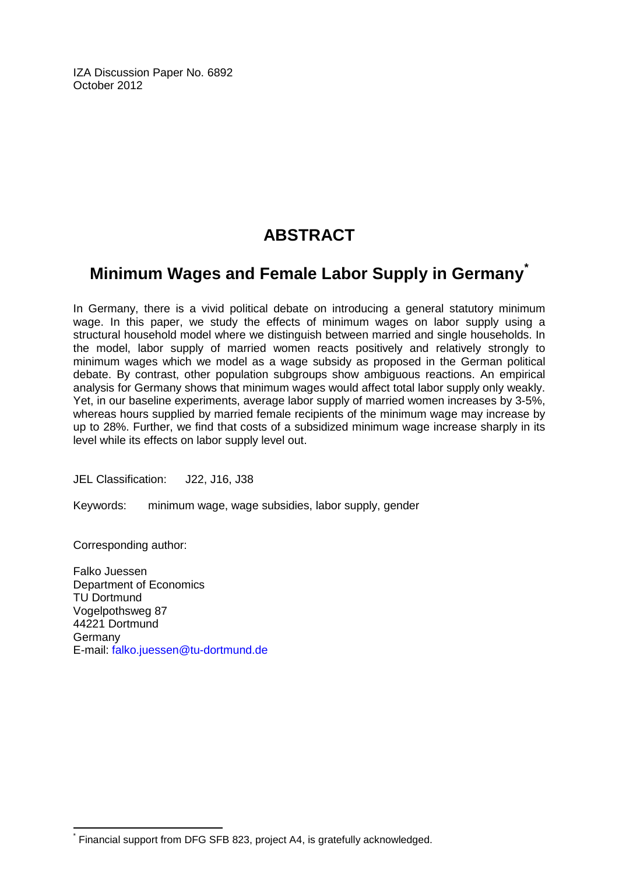IZA Discussion Paper No. 6892 October 2012

## **ABSTRACT**

## **Minimum Wages and Female Labor Supply in Germany[\\*](#page-1-0)**

In Germany, there is a vivid political debate on introducing a general statutory minimum wage. In this paper, we study the effects of minimum wages on labor supply using a structural household model where we distinguish between married and single households. In the model, labor supply of married women reacts positively and relatively strongly to minimum wages which we model as a wage subsidy as proposed in the German political debate. By contrast, other population subgroups show ambiguous reactions. An empirical analysis for Germany shows that minimum wages would affect total labor supply only weakly. Yet, in our baseline experiments, average labor supply of married women increases by 3-5%, whereas hours supplied by married female recipients of the minimum wage may increase by up to 28%. Further, we find that costs of a subsidized minimum wage increase sharply in its level while its effects on labor supply level out.

JEL Classification: J22, J16, J38

Keywords: minimum wage, wage subsidies, labor supply, gender

Corresponding author:

Falko Juessen Department of Economics TU Dortmund Vogelpothsweg 87 44221 Dortmund Germany E-mail: [falko.juessen@tu-dortmund.de](mailto:falko.juessen@tu-dortmund.de)

Financial support from DFG SFB 823, project A4, is gratefully acknowledged.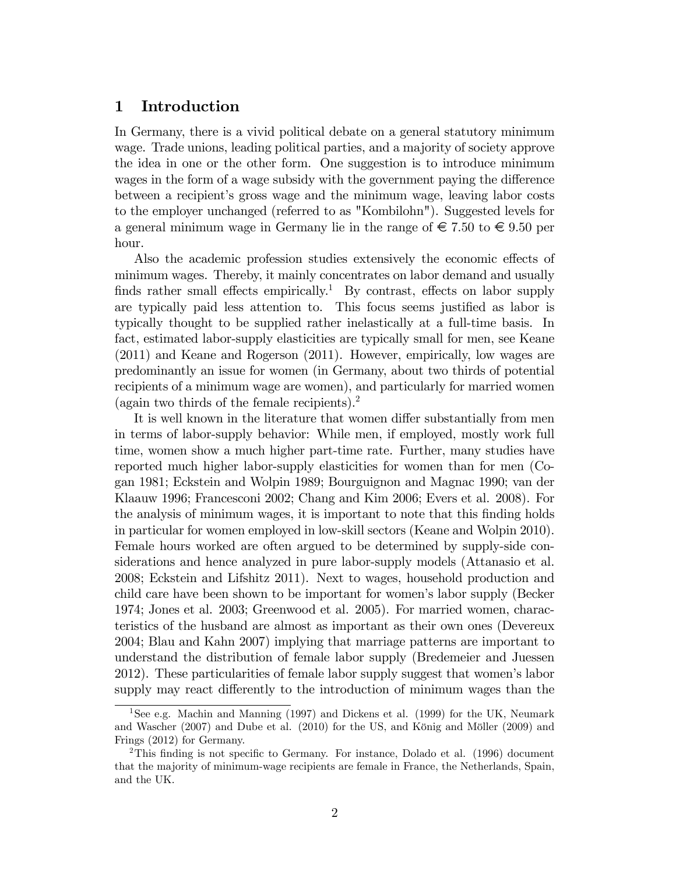#### 1 Introduction

In Germany, there is a vivid political debate on a general statutory minimum wage. Trade unions, leading political parties, and a majority of society approve the idea in one or the other form. One suggestion is to introduce minimum wages in the form of a wage subsidy with the government paying the difference between a recipient's gross wage and the minimum wage, leaving labor costs to the employer unchanged (referred to as "Kombilohn"). Suggested levels for a general minimum wage in Germany lie in the range of  $\epsilon$  7.50 to  $\epsilon$  9.50 per hour.

Also the academic profession studies extensively the economic effects of minimum wages. Thereby, it mainly concentrates on labor demand and usually finds rather small effects empirically.<sup>1</sup> By contrast, effects on labor supply are typically paid less attention to. This focus seems justified as labor is typically thought to be supplied rather inelastically at a full-time basis. In fact, estimated labor-supply elasticities are typically small for men, see Keane (2011) and Keane and Rogerson (2011). However, empirically, low wages are predominantly an issue for women (in Germany, about two thirds of potential recipients of a minimum wage are women), and particularly for married women (again two thirds of the female recipients).<sup>2</sup>

It is well known in the literature that women differ substantially from men in terms of labor-supply behavior: While men, if employed, mostly work full time, women show a much higher part-time rate. Further, many studies have reported much higher labor-supply elasticities for women than for men (Cogan 1981; Eckstein and Wolpin 1989; Bourguignon and Magnac 1990; van der Klaauw 1996; Francesconi 2002; Chang and Kim 2006; Evers et al. 2008). For the analysis of minimum wages, it is important to note that this finding holds in particular for women employed in low-skill sectors (Keane and Wolpin 2010). Female hours worked are often argued to be determined by supply-side considerations and hence analyzed in pure labor-supply models (Attanasio et al. 2008; Eckstein and Lifshitz 2011). Next to wages, household production and child care have been shown to be important for womenís labor supply (Becker 1974; Jones et al. 2003; Greenwood et al. 2005). For married women, characteristics of the husband are almost as important as their own ones (Devereux 2004; Blau and Kahn 2007) implying that marriage patterns are important to understand the distribution of female labor supply (Bredemeier and Juessen 2012). These particularities of female labor supply suggest that womenís labor supply may react differently to the introduction of minimum wages than the

<sup>1</sup>See e.g. Machin and Manning (1997) and Dickens et al. (1999) for the UK, Neumark and Wascher  $(2007)$  and Dube et al.  $(2010)$  for the US, and König and Möller  $(2009)$  and Frings (2012) for Germany.

<sup>&</sup>lt;sup>2</sup>This finding is not specific to Germany. For instance, Dolado et al. (1996) document that the majority of minimum-wage recipients are female in France, the Netherlands, Spain, and the UK.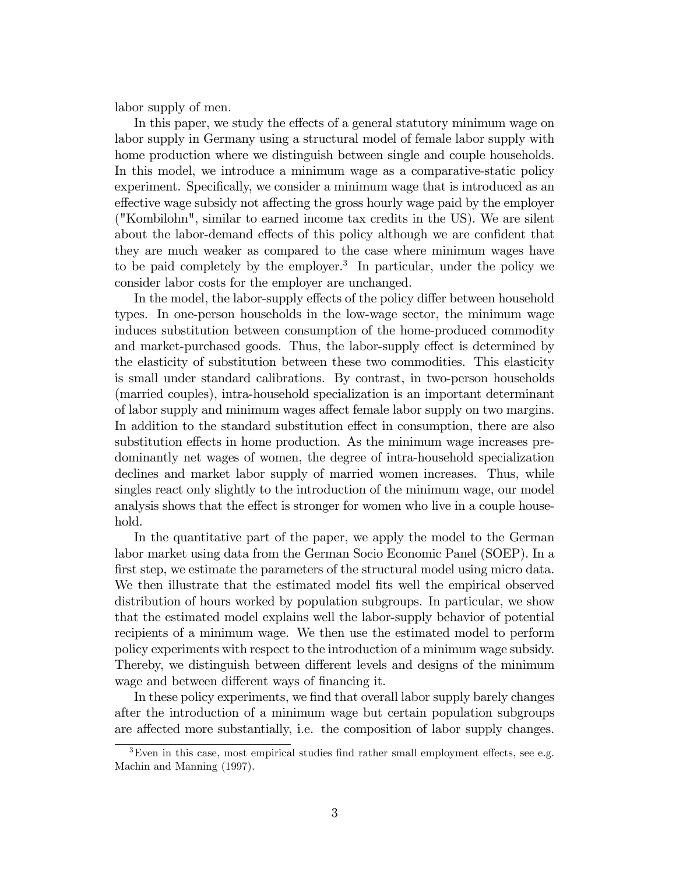labor supply of men.

In this paper, we study the effects of a general statutory minimum wage on labor supply in Germany using a structural model of female labor supply with home production where we distinguish between single and couple households. In this model, we introduce a minimum wage as a comparative-static policy experiment. Specifically, we consider a minimum wage that is introduced as an effective wage subsidy not affecting the gross hourly wage paid by the employer ("Kombilohn", similar to earned income tax credits in the US). We are silent about the labor-demand effects of this policy although we are confident that they are much weaker as compared to the case where minimum wages have to be paid completely by the employer.<sup>3</sup> In particular, under the policy we consider labor costs for the employer are unchanged.

In the model, the labor-supply effects of the policy differ between household types. In one-person households in the low-wage sector, the minimum wage induces substitution between consumption of the home-produced commodity and market-purchased goods. Thus, the labor-supply effect is determined by the elasticity of substitution between these two commodities. This elasticity is small under standard calibrations. By contrast, in two-person households (married couples), intra-household specialization is an important determinant of labor supply and minimum wages affect female labor supply on two margins. In addition to the standard substitution effect in consumption, there are also substitution effects in home production. As the minimum wage increases predominantly net wages of women, the degree of intra-household specialization declines and market labor supply of married women increases. Thus, while singles react only slightly to the introduction of the minimum wage, our model analysis shows that the effect is stronger for women who live in a couple household.

In the quantitative part of the paper, we apply the model to the German labor market using data from the German Socio Economic Panel (SOEP). In a first step, we estimate the parameters of the structural model using micro data. We then illustrate that the estimated model fits well the empirical observed distribution of hours worked by population subgroups. In particular, we show that the estimated model explains well the labor-supply behavior of potential recipients of a minimum wage. We then use the estimated model to perform policy experiments with respect to the introduction of a minimum wage subsidy. Thereby, we distinguish between different levels and designs of the minimum wage and between different ways of financing it.

In these policy experiments, we find that overall labor supply barely changes after the introduction of a minimum wage but certain population subgroups are affected more substantially, i.e. the composition of labor supply changes.

 ${}^{3}$ Even in this case, most empirical studies find rather small employment effects, see e.g. Machin and Manning (1997).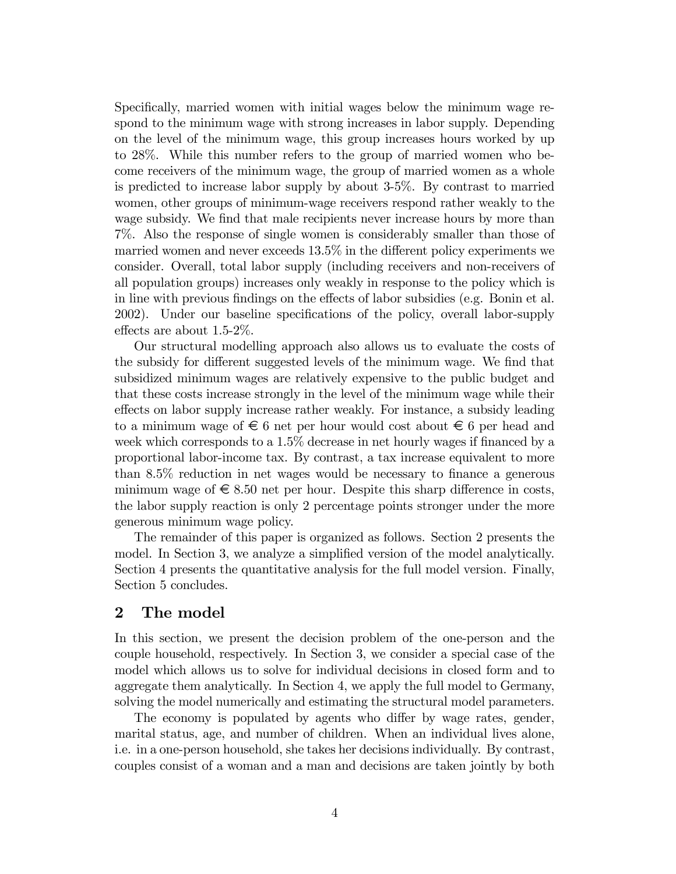Specifically, married women with initial wages below the minimum wage respond to the minimum wage with strong increases in labor supply. Depending on the level of the minimum wage, this group increases hours worked by up to 28%. While this number refers to the group of married women who become receivers of the minimum wage, the group of married women as a whole is predicted to increase labor supply by about 3-5%. By contrast to married women, other groups of minimum-wage receivers respond rather weakly to the wage subsidy. We find that male recipients never increase hours by more than 7%. Also the response of single women is considerably smaller than those of married women and never exceeds  $13.5\%$  in the different policy experiments we consider. Overall, total labor supply (including receivers and non-receivers of all population groups) increases only weakly in response to the policy which is in line with previous findings on the effects of labor subsidies (e.g. Bonin et al. 2002). Under our baseline specifications of the policy, overall labor-supply effects are about  $1.5-2\%$ .

Our structural modelling approach also allows us to evaluate the costs of the subsidy for different suggested levels of the minimum wage. We find that subsidized minimum wages are relatively expensive to the public budget and that these costs increase strongly in the level of the minimum wage while their effects on labor supply increase rather weakly. For instance, a subsidy leading to a minimum wage of  $\epsilon$  6 net per hour would cost about  $\epsilon$  6 per head and week which corresponds to a  $1.5\%$  decrease in net hourly wages if financed by a proportional labor-income tax. By contrast, a tax increase equivalent to more than  $8.5\%$  reduction in net wages would be necessary to finance a generous minimum wage of  $\epsilon \leq 8.50$  net per hour. Despite this sharp difference in costs, the labor supply reaction is only 2 percentage points stronger under the more generous minimum wage policy.

The remainder of this paper is organized as follows. Section 2 presents the model. In Section 3, we analyze a simplified version of the model analytically. Section 4 presents the quantitative analysis for the full model version. Finally, Section 5 concludes.

#### 2 The model

In this section, we present the decision problem of the one-person and the couple household, respectively. In Section 3, we consider a special case of the model which allows us to solve for individual decisions in closed form and to aggregate them analytically. In Section 4, we apply the full model to Germany, solving the model numerically and estimating the structural model parameters.

The economy is populated by agents who differ by wage rates, gender, marital status, age, and number of children. When an individual lives alone, i.e. in a one-person household, she takes her decisions individually. By contrast, couples consist of a woman and a man and decisions are taken jointly by both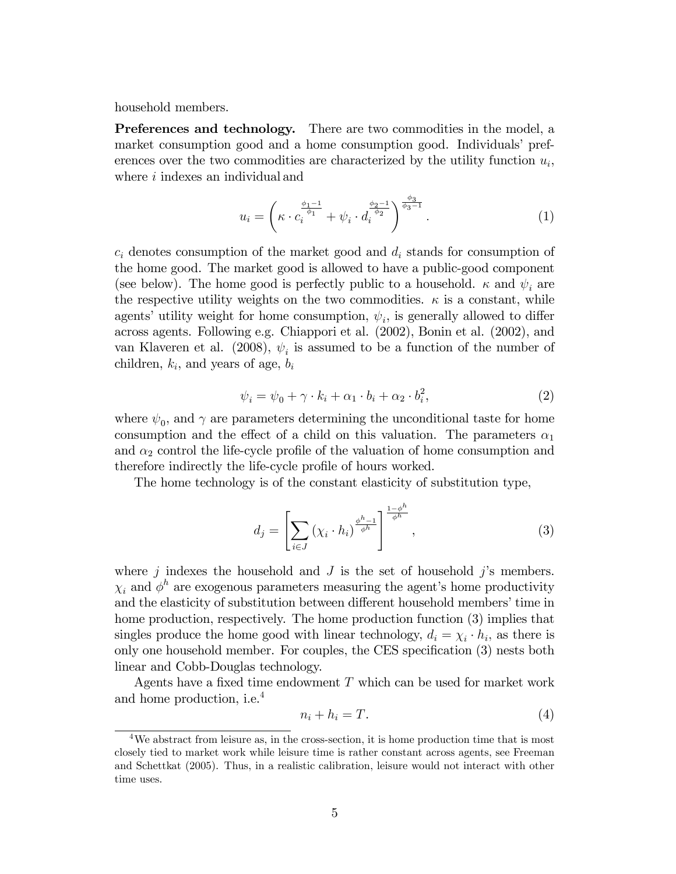household members.

Preferences and technology. There are two commodities in the model, a market consumption good and a home consumption good. Individuals' preferences over the two commodities are characterized by the utility function  $u_i$ , where  $i$  indexes an individual and

$$
u_i = \left(\kappa \cdot c_i^{\frac{\phi_1 - 1}{\phi_1}} + \psi_i \cdot d_i^{\frac{\phi_2 - 1}{\phi_2}}\right)^{\frac{\phi_3}{\phi_3 - 1}}.
$$
 (1)

 $c_i$  denotes consumption of the market good and  $d_i$  stands for consumption of the home good. The market good is allowed to have a public-good component (see below). The home good is perfectly public to a household.  $\kappa$  and  $\psi_i$  are the respective utility weights on the two commodities.  $\kappa$  is a constant, while agents' utility weight for home consumption,  $\psi_i$ , is generally allowed to differ across agents. Following e.g. Chiappori et al. (2002), Bonin et al. (2002), and van Klaveren et al. (2008),  $\psi_i$  is assumed to be a function of the number of children,  $k_i$ , and years of age,  $b_i$ 

$$
\psi_i = \psi_0 + \gamma \cdot k_i + \alpha_1 \cdot b_i + \alpha_2 \cdot b_i^2,\tag{2}
$$

where  $\psi_0$ , and  $\gamma$  are parameters determining the unconditional taste for home consumption and the effect of a child on this valuation. The parameters  $\alpha_1$ and  $\alpha_2$  control the life-cycle profile of the valuation of home consumption and therefore indirectly the life-cycle profile of hours worked.

The home technology is of the constant elasticity of substitution type,

$$
d_j = \left[ \sum_{i \in J} \left( \chi_i \cdot h_i \right)^{\frac{\phi^h - 1}{\phi^h}} \right]^{\frac{1 - \phi^h}{\phi^h}}, \tag{3}
$$

where  $j$  indexes the household and  $J$  is the set of household  $j$ 's members.  $\chi_i$  and  $\phi^h$  are exogenous parameters measuring the agent's home productivity and the elasticity of substitution between different household members' time in home production, respectively. The home production function (3) implies that singles produce the home good with linear technology,  $d_i = \chi_i \cdot h_i$ , as there is only one household member. For couples, the CES specification  $(3)$  nests both linear and Cobb-Douglas technology.

Agents have a fixed time endowment  $T$  which can be used for market work and home production, i.e.<sup>4</sup>

$$
n_i + h_i = T. \tag{4}
$$

<sup>&</sup>lt;sup>4</sup>We abstract from leisure as, in the cross-section, it is home production time that is most closely tied to market work while leisure time is rather constant across agents, see Freeman and Schettkat (2005). Thus, in a realistic calibration, leisure would not interact with other time uses.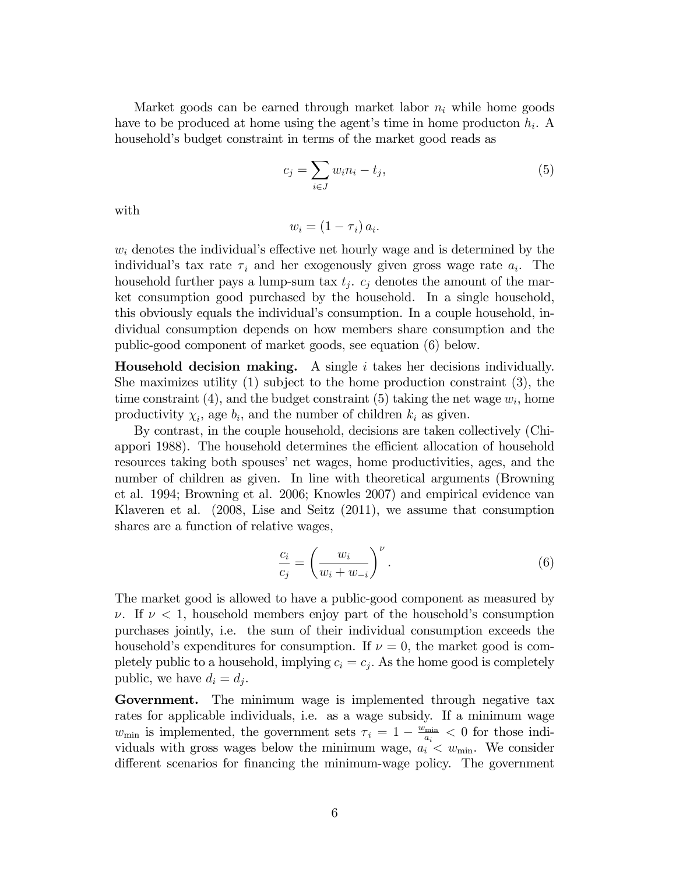Market goods can be earned through market labor  $n_i$  while home goods have to be produced at home using the agent's time in home producton  $h_i$ . A household's budget constraint in terms of the market good reads as

$$
c_j = \sum_{i \in J} w_i n_i - t_j,\tag{5}
$$

with

$$
w_i = (1 - \tau_i) a_i.
$$

 $w_i$  denotes the individual's effective net hourly wage and is determined by the individual's tax rate  $\tau_i$  and her exogenously given gross wage rate  $a_i$ . The household further pays a lump-sum tax  $t_j$ .  $c_j$  denotes the amount of the market consumption good purchased by the household. In a single household, this obviously equals the individualís consumption. In a couple household, individual consumption depends on how members share consumption and the public-good component of market goods, see equation (6) below.

**Household decision making.** A single i takes her decisions individually. She maximizes utility (1) subject to the home production constraint (3), the time constraint (4), and the budget constraint (5) taking the net wage  $w_i$ , home productivity  $\chi_i$ , age  $b_i$ , and the number of children  $k_i$  as given.

By contrast, in the couple household, decisions are taken collectively (Chiappori 1988). The household determines the efficient allocation of household resources taking both spouses' net wages, home productivities, ages, and the number of children as given. In line with theoretical arguments (Browning et al. 1994; Browning et al. 2006; Knowles 2007) and empirical evidence van Klaveren et al. (2008, Lise and Seitz (2011), we assume that consumption shares are a function of relative wages,

$$
\frac{c_i}{c_j} = \left(\frac{w_i}{w_i + w_{-i}}\right)^{\nu}.
$$
\n(6)

The market good is allowed to have a public-good component as measured by  $\nu$ . If  $\nu < 1$ , household members enjoy part of the household's consumption purchases jointly, i.e. the sum of their individual consumption exceeds the household's expenditures for consumption. If  $\nu = 0$ , the market good is completely public to a household, implying  $c_i = c_j$ . As the home good is completely public, we have  $d_i = d_j$ .

Government. The minimum wage is implemented through negative tax rates for applicable individuals, i.e. as a wage subsidy. If a minimum wage  $w_{\min}$  is implemented, the government sets  $\tau_i = 1 - \frac{w_{\min}}{a_i}$  $\frac{\sin n}{a_i} < 0$  for those individuals with gross wages below the minimum wage,  $a_i < w_{\min}$ . We consider different scenarios for financing the minimum-wage policy. The government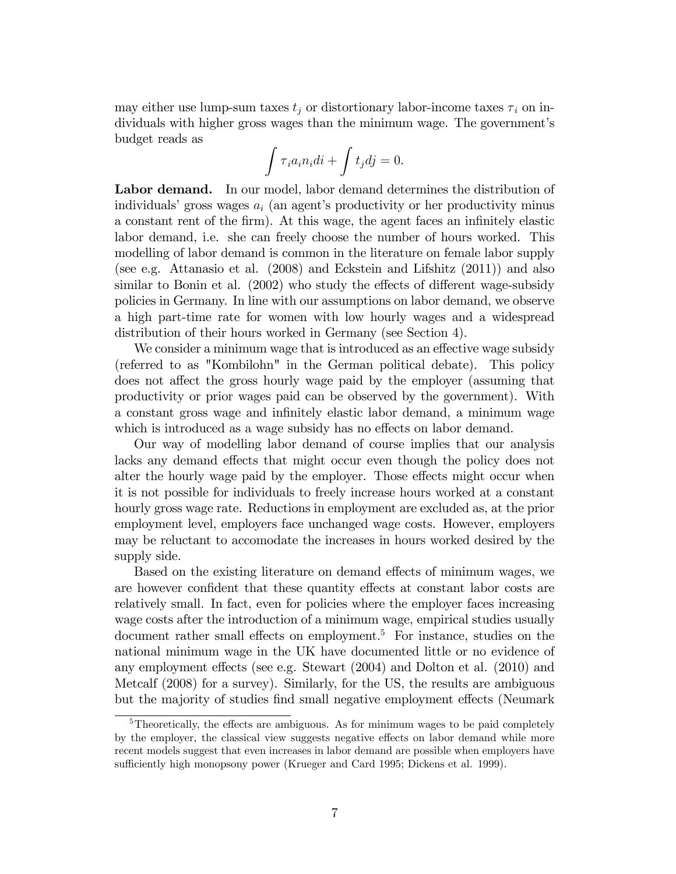may either use lump-sum taxes  $t_j$  or distortionary labor-income taxes  $\tau_i$  on individuals with higher gross wages than the minimum wage. The government's budget reads as

$$
\int \tau_i a_i n_i di + \int t_j dj = 0.
$$

Labor demand. In our model, labor demand determines the distribution of individuals' gross wages  $a_i$  (an agent's productivity or her productivity minus a constant rent of the firm). At this wage, the agent faces an infinitely elastic labor demand, i.e. she can freely choose the number of hours worked. This modelling of labor demand is common in the literature on female labor supply (see e.g. Attanasio et al. (2008) and Eckstein and Lifshitz (2011)) and also similar to Bonin et al. (2002) who study the effects of different wage-subsidy policies in Germany. In line with our assumptions on labor demand, we observe a high part-time rate for women with low hourly wages and a widespread distribution of their hours worked in Germany (see Section 4).

We consider a minimum wage that is introduced as an effective wage subsidy (referred to as "Kombilohn" in the German political debate). This policy does not affect the gross hourly wage paid by the employer (assuming that productivity or prior wages paid can be observed by the government). With a constant gross wage and infinitely elastic labor demand, a minimum wage which is introduced as a wage subsidy has no effects on labor demand.

Our way of modelling labor demand of course implies that our analysis lacks any demand effects that might occur even though the policy does not alter the hourly wage paid by the employer. Those effects might occur when it is not possible for individuals to freely increase hours worked at a constant hourly gross wage rate. Reductions in employment are excluded as, at the prior employment level, employers face unchanged wage costs. However, employers may be reluctant to accomodate the increases in hours worked desired by the supply side.

Based on the existing literature on demand effects of minimum wages, we are however confident that these quantity effects at constant labor costs are relatively small. In fact, even for policies where the employer faces increasing wage costs after the introduction of a minimum wage, empirical studies usually document rather small effects on employment.<sup>5</sup> For instance, studies on the national minimum wage in the UK have documented little or no evidence of any employment effects (see e.g. Stewart  $(2004)$  and Dolton et al.  $(2010)$  and Metcalf (2008) for a survey). Similarly, for the US, the results are ambiguous but the majority of studies find small negative employment effects (Neumark

 $5$ Theoretically, the effects are ambiguous. As for minimum wages to be paid completely by the employer, the classical view suggests negative effects on labor demand while more recent models suggest that even increases in labor demand are possible when employers have sufficiently high monopsony power (Krueger and Card 1995; Dickens et al. 1999).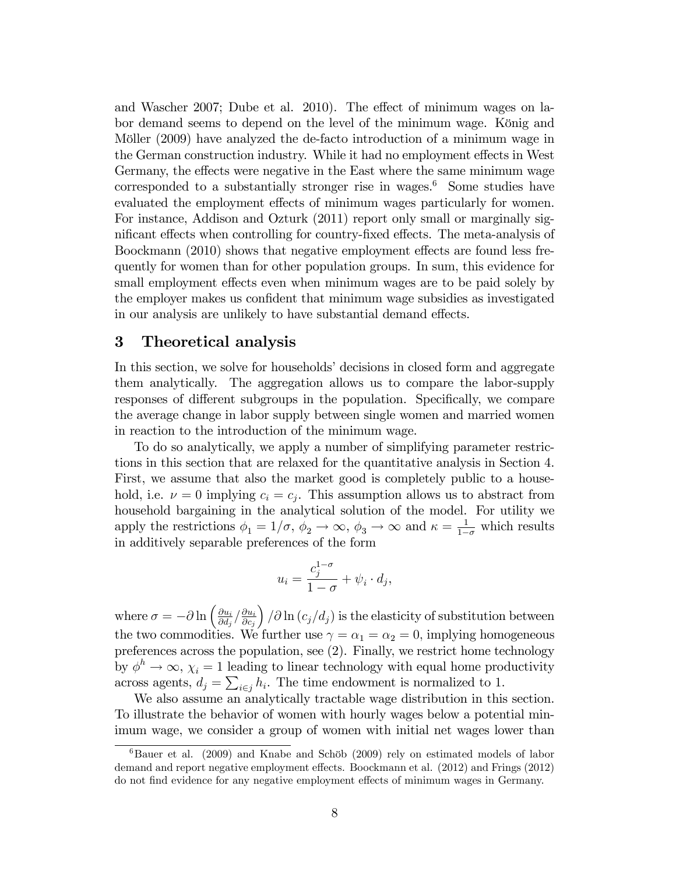and Wascher 2007; Dube et al. 2010). The effect of minimum wages on labor demand seems to depend on the level of the minimum wage. König and Möller (2009) have analyzed the de-facto introduction of a minimum wage in the German construction industry. While it had no employment effects in West Germany, the effects were negative in the East where the same minimum wage corresponded to a substantially stronger rise in wages.<sup>6</sup> Some studies have evaluated the employment effects of minimum wages particularly for women. For instance, Addison and Ozturk (2011) report only small or marginally significant effects when controlling for country-fixed effects. The meta-analysis of Boockmann (2010) shows that negative employment effects are found less frequently for women than for other population groups. In sum, this evidence for small employment effects even when minimum wages are to be paid solely by the employer makes us confident that minimum wage subsidies as investigated in our analysis are unlikely to have substantial demand effects.

#### 3 Theoretical analysis

In this section, we solve for households' decisions in closed form and aggregate them analytically. The aggregation allows us to compare the labor-supply responses of different subgroups in the population. Specifically, we compare the average change in labor supply between single women and married women in reaction to the introduction of the minimum wage.

To do so analytically, we apply a number of simplifying parameter restrictions in this section that are relaxed for the quantitative analysis in Section 4. First, we assume that also the market good is completely public to a household, i.e.  $\nu = 0$  implying  $c_i = c_j$ . This assumption allows us to abstract from household bargaining in the analytical solution of the model. For utility we apply the restrictions  $\phi_1 = 1/\sigma$ ,  $\phi_2 \to \infty$ ,  $\phi_3 \to \infty$  and  $\kappa = \frac{1}{1-\sigma}$  which results in additively separable preferences of the form

$$
u_i = \frac{c_j^{1-\sigma}}{1-\sigma} + \psi_i \cdot d_j,
$$

where  $\sigma = -\partial \ln \left( \frac{\partial u_i}{\partial d_j} \right)$  $\frac{\partial u_i}{\partial d_j} \big/ \frac{\partial u_i}{\partial c_j}$  $\partial c_j$  $\int \sqrt{\partial \ln (c_j/d_j)}$  is the elasticity of substitution between the two commodities. We further use  $\gamma = \alpha_1 = \alpha_2 = 0$ , implying homogeneous preferences across the population, see (2). Finally, we restrict home technology by  $\phi^h \to \infty$ ,  $\chi_i = 1$  leading to linear technology with equal home productivity across agents,  $d_j = \sum_{i \in j} h_i$ . The time endowment is normalized to 1.

We also assume an analytically tractable wage distribution in this section. To illustrate the behavior of women with hourly wages below a potential minimum wage, we consider a group of women with initial net wages lower than

 $6$ Bauer et al. (2009) and Knabe and Schöb (2009) rely on estimated models of labor demand and report negative employment effects. Boockmann et al. (2012) and Frings (2012) do not find evidence for any negative employment effects of minimum wages in Germany.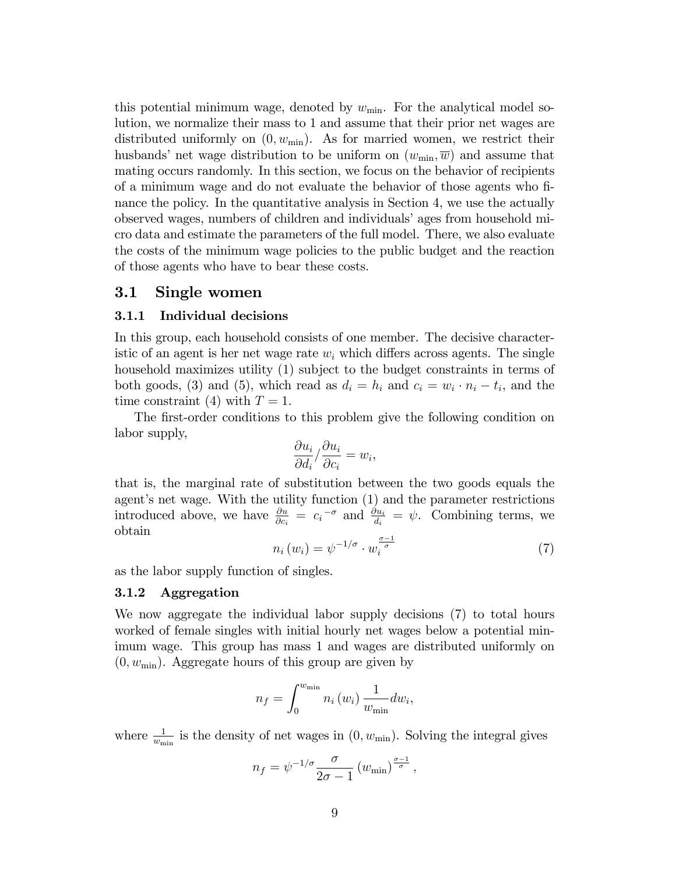this potential minimum wage, denoted by  $w_{\text{min}}$ . For the analytical model solution, we normalize their mass to 1 and assume that their prior net wages are distributed uniformly on  $(0, w_{\min})$ . As for married women, we restrict their husbands' net wage distribution to be uniform on  $(w_{\min}, \overline{w})$  and assume that mating occurs randomly. In this section, we focus on the behavior of recipients of a minimum wage and do not evaluate the behavior of those agents who Önance the policy. In the quantitative analysis in Section 4, we use the actually observed wages, numbers of children and individuals' ages from household micro data and estimate the parameters of the full model. There, we also evaluate the costs of the minimum wage policies to the public budget and the reaction of those agents who have to bear these costs.

#### 3.1 Single women

#### 3.1.1 Individual decisions

In this group, each household consists of one member. The decisive characteristic of an agent is her net wage rate  $w_i$  which differs across agents. The single household maximizes utility (1) subject to the budget constraints in terms of both goods, (3) and (5), which read as  $d_i = h_i$  and  $c_i = w_i \cdot n_i - t_i$ , and the time constraint (4) with  $T = 1$ .

The first-order conditions to this problem give the following condition on labor supply,

$$
\frac{\partial u_i}{\partial d_i} / \frac{\partial u_i}{\partial c_i} = w_i,
$$

that is, the marginal rate of substitution between the two goods equals the agent's net wage. With the utility function  $(1)$  and the parameter restrictions introduced above, we have  $\frac{\partial u}{\partial c_i} = c_i^{-\sigma}$  and  $\frac{\partial u_i}{\partial i} = \psi$ . Combining terms, we obtain

$$
n_i(w_i) = \psi^{-1/\sigma} \cdot w_i^{\frac{\sigma-1}{\sigma}}
$$
 (7)

as the labor supply function of singles.

#### 3.1.2 Aggregation

We now aggregate the individual labor supply decisions (7) to total hours worked of female singles with initial hourly net wages below a potential minimum wage. This group has mass 1 and wages are distributed uniformly on  $(0, w_{\min})$ . Aggregate hours of this group are given by

$$
n_f = \int_0^{w_{\min}} n_i(w_i) \frac{1}{w_{\min}} dw_i,
$$

where  $\frac{1}{w_{\min}}$  is the density of net wages in  $(0, w_{\min})$ . Solving the integral gives

$$
n_f = \psi^{-1/\sigma} \frac{\sigma}{2\sigma - 1} \left( w_{\min} \right)^{\frac{\sigma - 1}{\sigma}},
$$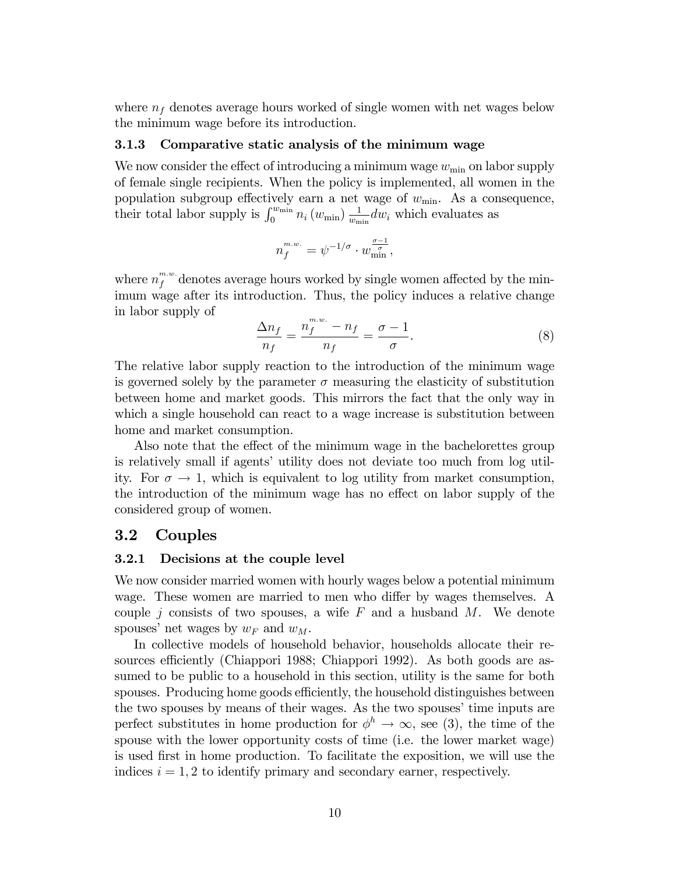where  $n_f$  denotes average hours worked of single women with net wages below the minimum wage before its introduction.

#### 3.1.3 Comparative static analysis of the minimum wage

We now consider the effect of introducing a minimum wage  $w_{\min}$  on labor supply of female single recipients. When the policy is implemented, all women in the population subgroup effectively earn a net wage of  $w_{\min}$ . As a consequence, their total labor supply is  $\int_0^{w_{\min}} n_i (w_{\min}) \frac{1}{w_{\min}}$  $\frac{1}{w_{\min}}$  dw<sub>i</sub> which evaluates as

$$
n_f^{m.w.} = \psi^{-1/\sigma} \cdot w_{\min}^{\frac{\sigma - 1}{\sigma}},
$$

where  $n_f^{m,w}$  denotes average hours worked by single women affected by the minimum wage after its introduction. Thus, the policy induces a relative change in labor supply of  $m \cdot w$ 

$$
\frac{\Delta n_f}{n_f} = \frac{n_f^{m.w.} - n_f}{n_f} = \frac{\sigma - 1}{\sigma}.\tag{8}
$$

The relative labor supply reaction to the introduction of the minimum wage is governed solely by the parameter  $\sigma$  measuring the elasticity of substitution between home and market goods. This mirrors the fact that the only way in which a single household can react to a wage increase is substitution between home and market consumption.

Also note that the effect of the minimum wage in the bachelorettes group is relatively small if agents' utility does not deviate too much from log utility. For  $\sigma \to 1$ , which is equivalent to log utility from market consumption, the introduction of the minimum wage has no effect on labor supply of the considered group of women.

#### 3.2 Couples

#### 3.2.1 Decisions at the couple level

We now consider married women with hourly wages below a potential minimum wage. These women are married to men who differ by wages themselves. A couple j consists of two spouses, a wife  $F$  and a husband  $M$ . We denote spouses' net wages by  $w_F$  and  $w_M$ .

In collective models of household behavior, households allocate their resources efficiently (Chiappori 1988; Chiappori 1992). As both goods are assumed to be public to a household in this section, utility is the same for both spouses. Producing home goods efficiently, the household distinguishes between the two spouses by means of their wages. As the two spouses' time inputs are perfect substitutes in home production for  $\phi^h \to \infty$ , see (3), the time of the spouse with the lower opportunity costs of time (i.e. the lower market wage) is used Örst in home production. To facilitate the exposition, we will use the indices  $i = 1, 2$  to identify primary and secondary earner, respectively.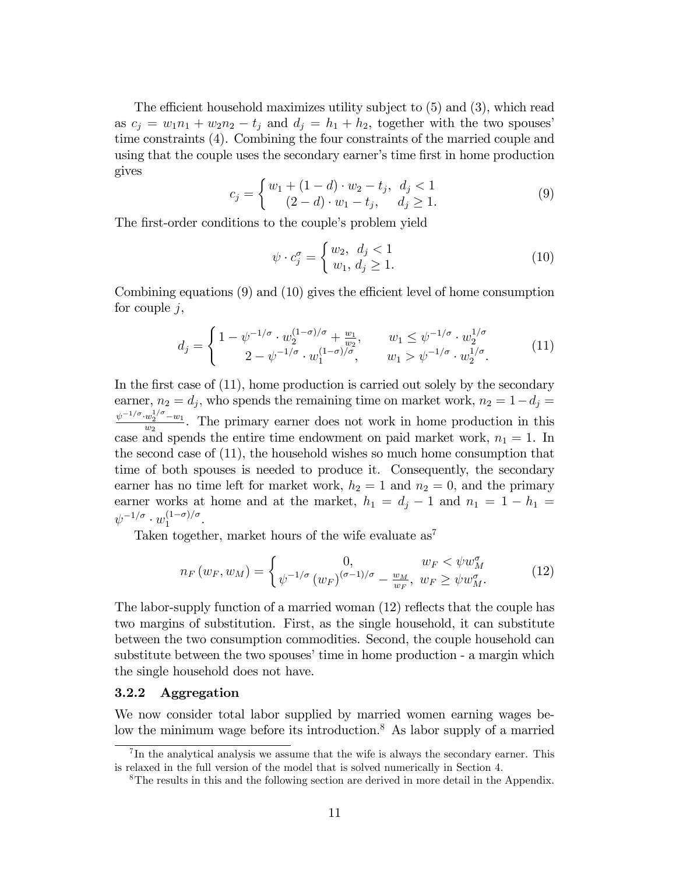The efficient household maximizes utility subject to  $(5)$  and  $(3)$ , which read as  $c_j = w_1 n_1 + w_2 n_2 - t_j$  and  $d_j = h_1 + h_2$ , together with the two spouses time constraints (4). Combining the four constraints of the married couple and using that the couple uses the secondary earner's time first in home production gives

$$
c_j = \begin{cases} w_1 + (1 - d) \cdot w_2 - t_j, & d_j < 1 \\ (2 - d) \cdot w_1 - t_j, & d_j \ge 1. \end{cases} \tag{9}
$$

The first-order conditions to the couple's problem yield

$$
\psi \cdot c_j^{\sigma} = \begin{cases} w_2, & d_j < 1 \\ w_1, & d_j \ge 1. \end{cases} \tag{10}
$$

Combining equations  $(9)$  and  $(10)$  gives the efficient level of home consumption for couple  $j$ ,

$$
d_j = \begin{cases} 1 - \psi^{-1/\sigma} \cdot w_2^{(1-\sigma)/\sigma} + \frac{w_1}{w_2}, & w_1 \le \psi^{-1/\sigma} \cdot w_2^{1/\sigma} \\ 2 - \psi^{-1/\sigma} \cdot w_1^{(1-\sigma)/\sigma}, & w_1 > \psi^{-1/\sigma} \cdot w_2^{1/\sigma}. \end{cases} (11)
$$

In the first case of  $(11)$ , home production is carried out solely by the secondary earner,  $n_2 = d_j$ , who spends the remaining time on market work,  $n_2 = 1 - d_j =$  $\psi^{-1/\sigma} \cdot w_2^{1/\sigma} - w_1$  $\frac{w_2}{w_2}$ . The primary earner does not work in home production in this case and spends the entire time endowment on paid market work,  $n_1 = 1$ . In the second case of (11), the household wishes so much home consumption that time of both spouses is needed to produce it. Consequently, the secondary earner has no time left for market work,  $h_2 = 1$  and  $n_2 = 0$ , and the primary earner works at home and at the market,  $h_1 = d_j - 1$  and  $n_1 = 1 - h_1 =$  $\psi^{-1/\sigma} \cdot w_1^{(1-\sigma)/\sigma}.$ 

Taken together, market hours of the wife evaluate  $as^7$ 

$$
n_F(w_F, w_M) = \begin{cases} 0, & w_F < \psi w_M^{\sigma} \\ \psi^{-1/\sigma} (w_F)^{(\sigma - 1)/\sigma} - \frac{w_M}{w_F}, & w_F \ge \psi w_M^{\sigma}. \end{cases}
$$
(12)

The labor-supply function of a married woman  $(12)$  reflects that the couple has two margins of substitution. First, as the single household, it can substitute between the two consumption commodities. Second, the couple household can substitute between the two spouses' time in home production - a margin which the single household does not have.

#### 3.2.2 Aggregation

We now consider total labor supplied by married women earning wages below the minimum wage before its introduction.<sup>8</sup> As labor supply of a married

<sup>&</sup>lt;sup>7</sup>In the analytical analysis we assume that the wife is always the secondary earner. This is relaxed in the full version of the model that is solved numerically in Section 4.

<sup>8</sup>The results in this and the following section are derived in more detail in the Appendix.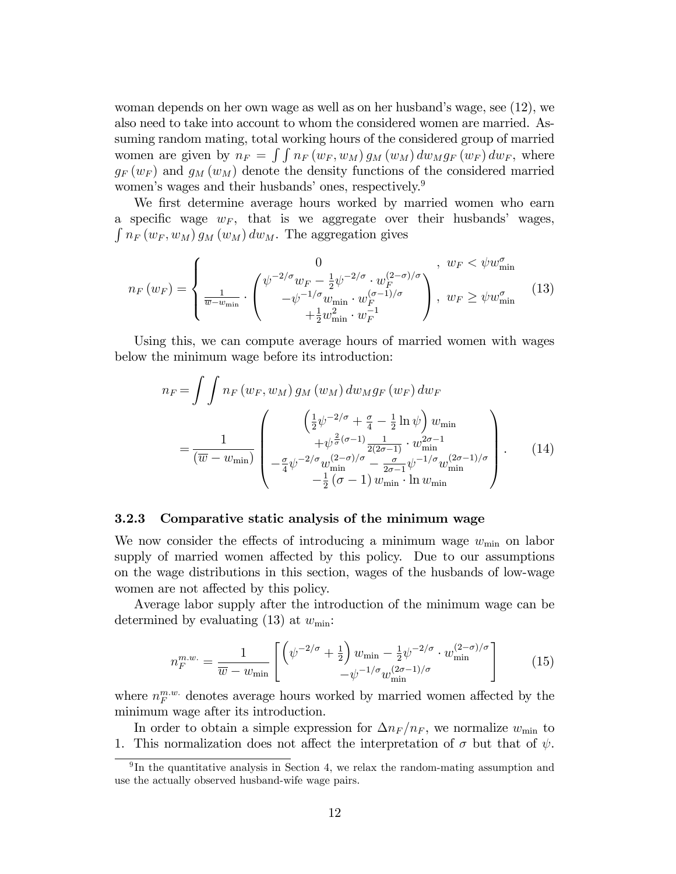woman depends on her own wage as well as on her husband's wage, see  $(12)$ , we also need to take into account to whom the considered women are married. Assuming random mating, total working hours of the considered group of married women are given by  $n_F = \int \int n_F (w_F, w_M) g_M(w_M) dw_M g_F(w_F) dw_F$ , where  $g_F(w_F)$  and  $g_M(w_M)$  denote the density functions of the considered married women's wages and their husbands' ones, respectively.<sup>9</sup>

We first determine average hours worked by married women who earn a specific wage  $w_F$ , that is we aggregate over their husbands' wages,  $\int n_F (w_F, w_M) g_M (w_M) dw_M$ . The aggregation gives

$$
n_F(w_F) = \begin{cases} 0 & , w_F < \psi w_{\min}^{\sigma} \\ \frac{1}{\overline{w} - w_{\min}} \cdot \begin{pmatrix} \psi^{-2/\sigma} w_F - \frac{1}{2} \psi^{-2/\sigma} \cdot w_F^{(2-\sigma)/\sigma} \\ -\psi^{-1/\sigma} w_{\min} \cdot w_F^{(\sigma-1)/\sigma} \\ + \frac{1}{2} w_{\min}^2 \cdot w_F^{-1} \end{pmatrix}, & w_F \ge \psi w_{\min}^{\sigma} \end{cases} (13)
$$

Using this, we can compute average hours of married women with wages below the minimum wage before its introduction:

$$
n_F = \int \int n_F (w_F, w_M) g_M (w_M) dw_M g_F (w_F) dw_F
$$
  
= 
$$
\frac{1}{(\overline{w} - w_{\min})} \begin{pmatrix} \left(\frac{1}{2} \psi^{-2/\sigma} + \frac{\sigma}{4} - \frac{1}{2} \ln \psi\right) w_{\min} \\ + \psi^{\frac{2}{\sigma}(\sigma - 1)} \frac{1}{2(2\sigma - 1)} \cdot w_{\min}^{2\sigma - 1} \\ - \frac{\sigma}{4} \psi^{-2/\sigma} w_{\min}^{(2-\sigma)/\sigma} - \frac{\sigma}{2\sigma - 1} \psi^{-1/\sigma} w_{\min}^{(2\sigma - 1)/\sigma} \\ - \frac{1}{2} (\sigma - 1) w_{\min} \cdot \ln w_{\min} \end{pmatrix} .
$$
(14)

#### 3.2.3 Comparative static analysis of the minimum wage

We now consider the effects of introducing a minimum wage  $w_{\text{min}}$  on labor supply of married women affected by this policy. Due to our assumptions on the wage distributions in this section, wages of the husbands of low-wage women are not affected by this policy.

Average labor supply after the introduction of the minimum wage can be determined by evaluating (13) at  $w_{\text{min}}$ :

$$
n_F^{m.w.} = \frac{1}{\overline{w} - w_{\min}} \left[ \left( \psi^{-2/\sigma} + \frac{1}{2} \right) w_{\min} - \frac{1}{2} \psi^{-2/\sigma} \cdot w_{\min}^{(2-\sigma)/\sigma} \right] \tag{15}
$$

where  $n_F^{m.w.}$  denotes average hours worked by married women affected by the minimum wage after its introduction.

In order to obtain a simple expression for  $\Delta n_F / n_F$ , we normalize  $w_{\min}$  to 1. This normalization does not affect the interpretation of  $\sigma$  but that of  $\psi$ .

<sup>&</sup>lt;sup>9</sup>In the quantitative analysis in Section 4, we relax the random-mating assumption and use the actually observed husband-wife wage pairs.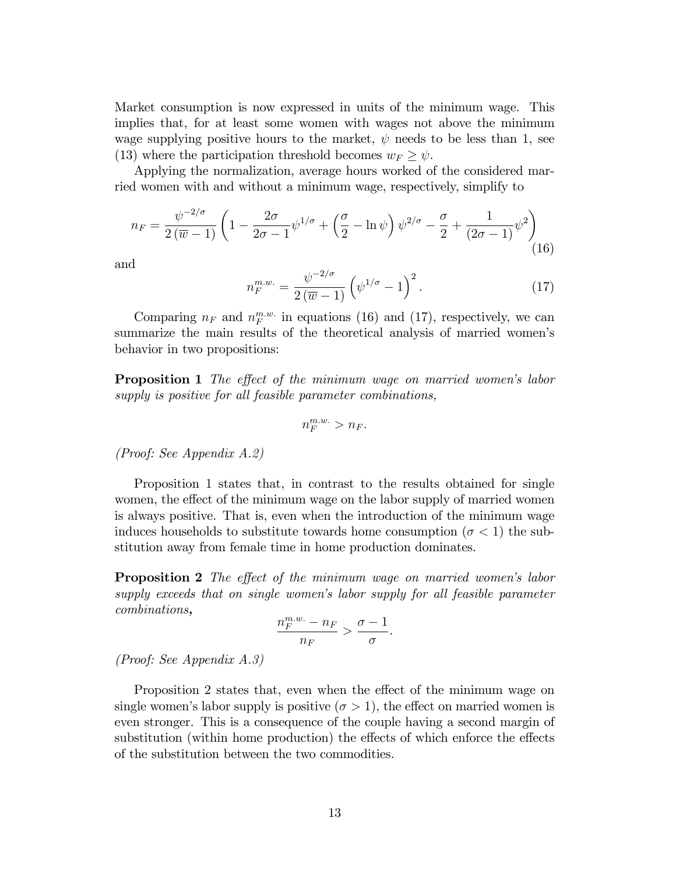Market consumption is now expressed in units of the minimum wage. This implies that, for at least some women with wages not above the minimum wage supplying positive hours to the market,  $\psi$  needs to be less than 1, see (13) where the participation threshold becomes  $w_F \geq \psi$ .

Applying the normalization, average hours worked of the considered married women with and without a minimum wage, respectively, simplify to

$$
n_F = \frac{\psi^{-2/\sigma}}{2(\overline{w}-1)} \left( 1 - \frac{2\sigma}{2\sigma - 1} \psi^{1/\sigma} + \left( \frac{\sigma}{2} - \ln \psi \right) \psi^{2/\sigma} - \frac{\sigma}{2} + \frac{1}{(2\sigma - 1)} \psi^2 \right)
$$
(16)

and

$$
n_F^{m.w.} = \frac{\psi^{-2/\sigma}}{2(\overline{w}-1)} \left(\psi^{1/\sigma} - 1\right)^2.
$$
 (17)

Comparing  $n_F$  and  $n_F^{m.w.}$  in equations (16) and (17), respectively, we can summarize the main results of the theoretical analysis of married women's behavior in two propositions:

**Proposition 1** The effect of the minimum wage on married women's labor supply is positive for all feasible parameter combinations,

$$
n_F^{m.w.} > n_F.
$$

(Proof: See Appendix A.2)

Proposition 1 states that, in contrast to the results obtained for single women, the effect of the minimum wage on the labor supply of married women is always positive. That is, even when the introduction of the minimum wage induces households to substitute towards home consumption ( $\sigma < 1$ ) the substitution away from female time in home production dominates.

**Proposition 2** The effect of the minimum wage on married women's labor supply exceeds that on single women's labor supply for all feasible parameter combinations,

$$
\frac{n_F^{m.w.} - n_F}{n_F} > \frac{\sigma - 1}{\sigma}.
$$

(Proof: See Appendix A.3)

Proposition 2 states that, even when the effect of the minimum wage on single women's labor supply is positive  $(\sigma > 1)$ , the effect on married women is even stronger. This is a consequence of the couple having a second margin of substitution (within home production) the effects of which enforce the effects of the substitution between the two commodities.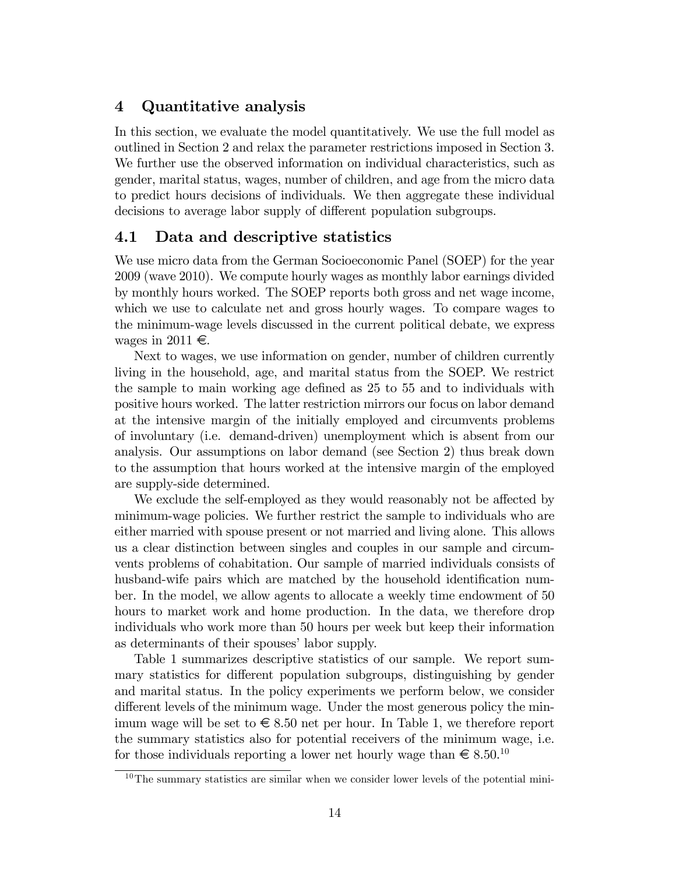## 4 Quantitative analysis

In this section, we evaluate the model quantitatively. We use the full model as outlined in Section 2 and relax the parameter restrictions imposed in Section 3. We further use the observed information on individual characteristics, such as gender, marital status, wages, number of children, and age from the micro data to predict hours decisions of individuals. We then aggregate these individual decisions to average labor supply of different population subgroups.

### 4.1 Data and descriptive statistics

We use micro data from the German Socioeconomic Panel (SOEP) for the year 2009 (wave 2010). We compute hourly wages as monthly labor earnings divided by monthly hours worked. The SOEP reports both gross and net wage income, which we use to calculate net and gross hourly wages. To compare wages to the minimum-wage levels discussed in the current political debate, we express wages in 2011  $\in$ .

Next to wages, we use information on gender, number of children currently living in the household, age, and marital status from the SOEP. We restrict the sample to main working age defined as 25 to 55 and to individuals with positive hours worked. The latter restriction mirrors our focus on labor demand at the intensive margin of the initially employed and circumvents problems of involuntary (i.e. demand-driven) unemployment which is absent from our analysis. Our assumptions on labor demand (see Section 2) thus break down to the assumption that hours worked at the intensive margin of the employed are supply-side determined.

We exclude the self-employed as they would reasonably not be affected by minimum-wage policies. We further restrict the sample to individuals who are either married with spouse present or not married and living alone. This allows us a clear distinction between singles and couples in our sample and circumvents problems of cohabitation. Our sample of married individuals consists of husband-wife pairs which are matched by the household identification number. In the model, we allow agents to allocate a weekly time endowment of 50 hours to market work and home production. In the data, we therefore drop individuals who work more than 50 hours per week but keep their information as determinants of their spouses' labor supply.

Table 1 summarizes descriptive statistics of our sample. We report summary statistics for different population subgroups, distinguishing by gender and marital status. In the policy experiments we perform below, we consider different levels of the minimum wage. Under the most generous policy the minimum wage will be set to  $\epsilon \leq 8.50$  net per hour. In Table 1, we therefore report the summary statistics also for potential receivers of the minimum wage, i.e. for those individuals reporting a lower net hourly wage than  $\epsilon \lesssim 8.50^{10}$ 

 $10$ The summary statistics are similar when we consider lower levels of the potential mini-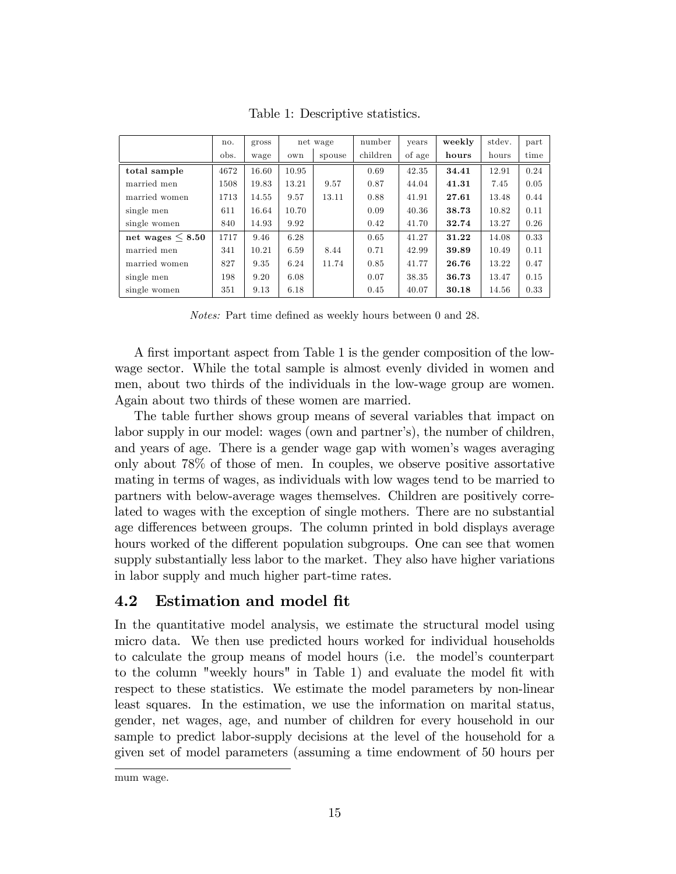|                       | no.  | gross |       | net wage | number   | years  | weekly | stdev. | part |
|-----------------------|------|-------|-------|----------|----------|--------|--------|--------|------|
|                       | obs. | wage  | own   | spouse   | children | of age | hours  | hours  | time |
| total sample          | 4672 | 16.60 | 10.95 |          | 0.69     | 42.35  | 34.41  | 12.91  | 0.24 |
| married men           | 1508 | 19.83 | 13.21 | 9.57     | 0.87     | 44.04  | 41.31  | 7.45   | 0.05 |
| married women         | 1713 | 14.55 | 9.57  | 13.11    | 0.88     | 41.91  | 27.61  | 13.48  | 0.44 |
| single men            | 611  | 16.64 | 10.70 |          | 0.09     | 40.36  | 38.73  | 10.82  | 0.11 |
| single women          | 840  | 14.93 | 9.92  |          | 0.42     | 41.70  | 32.74  | 13.27  | 0.26 |
| net wages $\leq 8.50$ | 1717 | 9.46  | 6.28  |          | 0.65     | 41.27  | 31.22  | 14.08  | 0.33 |
| married men           | 341  | 10.21 | 6.59  | 8.44     | 0.71     | 42.99  | 39.89  | 10.49  | 0.11 |
| married women         | 827  | 9.35  | 6.24  | 11.74    | 0.85     | 41.77  | 26.76  | 13.22  | 0.47 |
| single men            | 198  | 9.20  | 6.08  |          | 0.07     | 38.35  | 36.73  | 13.47  | 0.15 |
| single women          | 351  | 9.13  | 6.18  |          | 0.45     | 40.07  | 30.18  | 14.56  | 0.33 |

Table 1: Descriptive statistics.

Notes: Part time defined as weekly hours between 0 and 28.

A first important aspect from Table 1 is the gender composition of the lowwage sector. While the total sample is almost evenly divided in women and men, about two thirds of the individuals in the low-wage group are women. Again about two thirds of these women are married.

The table further shows group means of several variables that impact on labor supply in our model: wages (own and partner's), the number of children, and years of age. There is a gender wage gap with women's wages averaging only about 78% of those of men. In couples, we observe positive assortative mating in terms of wages, as individuals with low wages tend to be married to partners with below-average wages themselves. Children are positively correlated to wages with the exception of single mothers. There are no substantial age differences between groups. The column printed in bold displays average hours worked of the different population subgroups. One can see that women supply substantially less labor to the market. They also have higher variations in labor supply and much higher part-time rates.

## 4.2 Estimation and model fit

In the quantitative model analysis, we estimate the structural model using micro data. We then use predicted hours worked for individual households to calculate the group means of model hours (i.e. the modelís counterpart to the column "weekly hours" in Table 1) and evaluate the model fit with respect to these statistics. We estimate the model parameters by non-linear least squares. In the estimation, we use the information on marital status, gender, net wages, age, and number of children for every household in our sample to predict labor-supply decisions at the level of the household for a given set of model parameters (assuming a time endowment of 50 hours per

mum wage.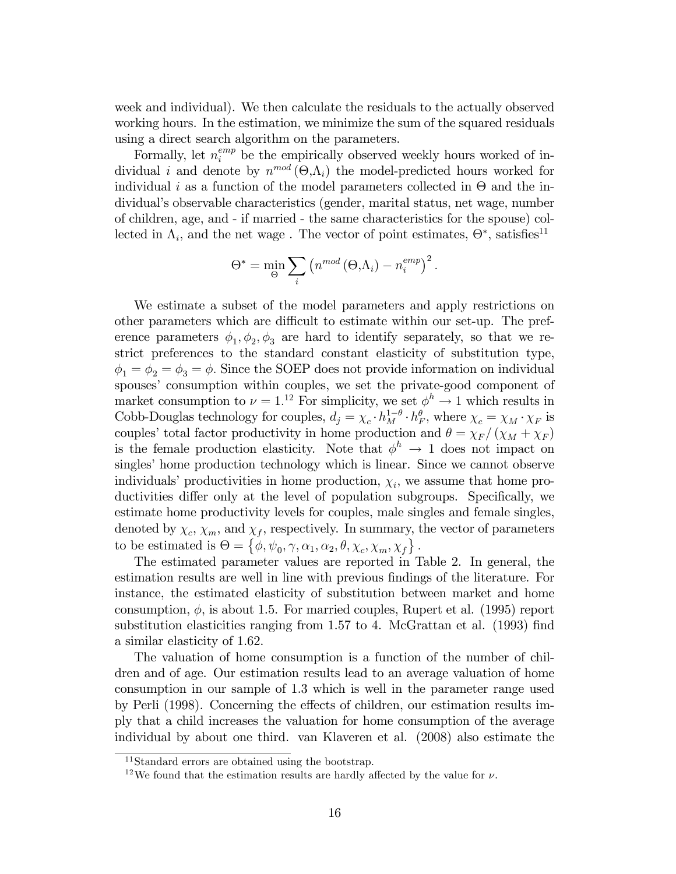week and individual). We then calculate the residuals to the actually observed working hours. In the estimation, we minimize the sum of the squared residuals using a direct search algorithm on the parameters.

Formally, let  $n_i^{emp}$  be the empirically observed weekly hours worked of individual *i* and denote by  $n^{mod}(\Theta,\Lambda_i)$  the model-predicted hours worked for individual *i* as a function of the model parameters collected in  $\Theta$  and the individualís observable characteristics (gender, marital status, net wage, number of children, age, and - if married - the same characteristics for the spouse) collected in  $\Lambda_i$ , and the net wage. The vector of point estimates,  $\Theta^*$ , satisfies<sup>11</sup>

$$
\Theta^* = \min_{\Theta} \sum_i \left( n^{mod} \left( \Theta, \Lambda_i \right) - n_i^{emp} \right)^2.
$$

We estimate a subset of the model parameters and apply restrictions on other parameters which are difficult to estimate within our set-up. The preference parameters  $\phi_1, \phi_2, \phi_3$  are hard to identify separately, so that we restrict preferences to the standard constant elasticity of substitution type,  $\phi_1 = \phi_2 = \phi_3 = \phi$ . Since the SOEP does not provide information on individual spouses' consumption within couples, we set the private-good component of market consumption to  $\nu = 1^{12}$  For simplicity, we set  $\phi^h \to 1$  which results in Cobb-Douglas technology for couples,  $d_j = \chi_c \cdot h_M^{1-\theta} \cdot h_F^{\theta}$ , where  $\chi_c = \chi_M \cdot \chi_F$  is couples' total factor productivity in home production and  $\theta = \chi_F / (\chi_M + \chi_F)$ is the female production elasticity. Note that  $\phi^h \to 1$  does not impact on singles' home production technology which is linear. Since we cannot observe individuals' productivities in home production,  $\chi_i$ , we assume that home productivities differ only at the level of population subgroups. Specifically, we estimate home productivity levels for couples, male singles and female singles, denoted by  $\chi_c$ ,  $\chi_m$ , and  $\chi_f$ , respectively. In summary, the vector of parameters to be estimated is  $\Theta = \{\phi, \psi_0, \gamma, \alpha_1, \alpha_2, \theta, \chi_c, \chi_m, \chi_f\}.$ 

The estimated parameter values are reported in Table 2. In general, the estimation results are well in line with previous findings of the literature. For instance, the estimated elasticity of substitution between market and home consumption,  $\phi$ , is about 1.5. For married couples, Rupert et al. (1995) report substitution elasticities ranging from 1.57 to 4. McGrattan et al. (1993) find a similar elasticity of 1.62.

The valuation of home consumption is a function of the number of children and of age. Our estimation results lead to an average valuation of home consumption in our sample of 1.3 which is well in the parameter range used by Perli (1998). Concerning the effects of children, our estimation results imply that a child increases the valuation for home consumption of the average individual by about one third. van Klaveren et al. (2008) also estimate the

<sup>&</sup>lt;sup>11</sup>Standard errors are obtained using the bootstrap.

<sup>&</sup>lt;sup>12</sup>We found that the estimation results are hardly affected by the value for  $\nu$ .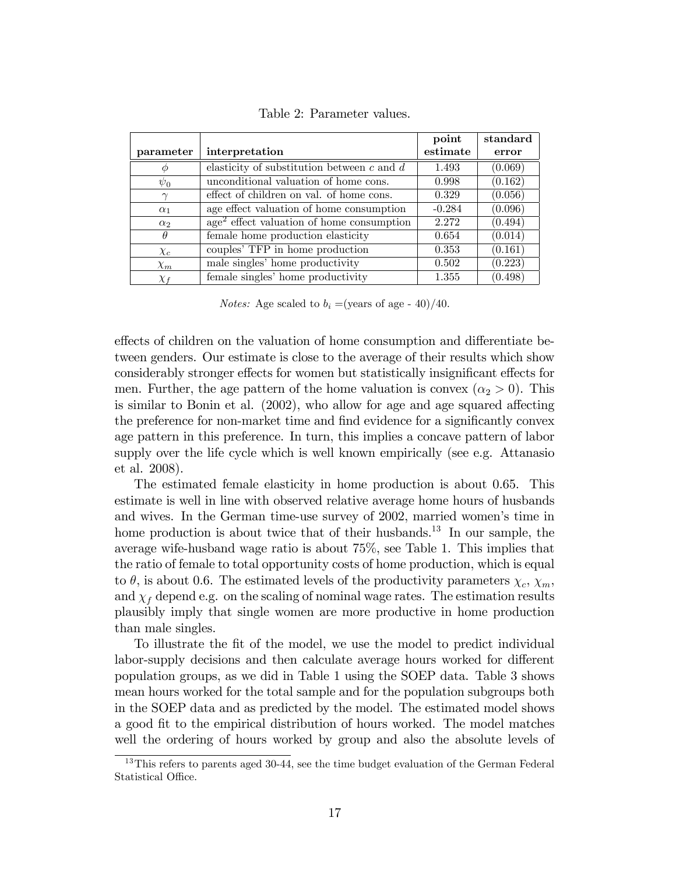|            |                                                | point    | standard |
|------------|------------------------------------------------|----------|----------|
| parameter  | interpretation                                 | estimate | error    |
| Φ          | elasticity of substitution between $c$ and $d$ | 1.493    | (0.069)  |
| $\psi_0$   | unconditional valuation of home cons.          | 0.998    | (0.162)  |
| $\gamma$   | effect of children on val. of home cons.       | 0.329    | (0.056)  |
| $\alpha_1$ | age effect valuation of home consumption       | $-0.284$ | (0.096)  |
| $\alpha_2$ | $age2$ effect valuation of home consumption    | 2.272    | (0.494)  |
| $\theta$   | female home production elasticity              | 0.654    | (0.014)  |
| $\chi_c$   | couples' TFP in home production                | 0.353    | (0.161)  |
| $\chi_m$   | male singles' home productivity                | 0.502    | (0.223)  |
| $\chi$ f   | female singles' home productivity              | 1.355    | (0.498)  |

Table 2: Parameter values.

*Notes:* Age scaled to  $b_i = (years \text{ of age - } 40) / 40$ .

effects of children on the valuation of home consumption and differentiate between genders. Our estimate is close to the average of their results which show considerably stronger effects for women but statistically insignificant effects for men. Further, the age pattern of the home valuation is convex  $(\alpha_2 > 0)$ . This is similar to Bonin et al.  $(2002)$ , who allow for age and age squared affecting the preference for non-market time and find evidence for a significantly convex age pattern in this preference. In turn, this implies a concave pattern of labor supply over the life cycle which is well known empirically (see e.g. Attanasio et al. 2008).

The estimated female elasticity in home production is about 0.65. This estimate is well in line with observed relative average home hours of husbands and wives. In the German time-use survey of 2002, married womenís time in home production is about twice that of their husbands.<sup>13</sup> In our sample, the average wife-husband wage ratio is about 75%, see Table 1. This implies that the ratio of female to total opportunity costs of home production, which is equal to  $\theta$ , is about 0.6. The estimated levels of the productivity parameters  $\chi_c$ ,  $\chi_m$ , and  $\chi_f$  depend e.g. on the scaling of nominal wage rates. The estimation results plausibly imply that single women are more productive in home production than male singles.

To illustrate the fit of the model, we use the model to predict individual labor-supply decisions and then calculate average hours worked for different population groups, as we did in Table 1 using the SOEP data. Table 3 shows mean hours worked for the total sample and for the population subgroups both in the SOEP data and as predicted by the model. The estimated model shows a good fit to the empirical distribution of hours worked. The model matches well the ordering of hours worked by group and also the absolute levels of

<sup>&</sup>lt;sup>13</sup>This refers to parents aged 30-44, see the time budget evaluation of the German Federal Statistical Office.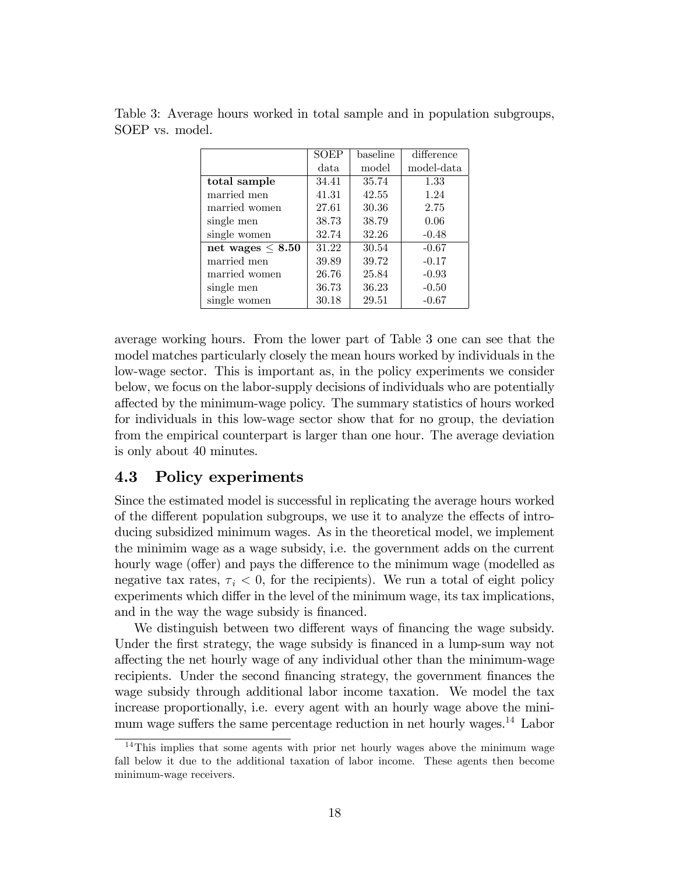|                       | SOEP  | baseline | difference |
|-----------------------|-------|----------|------------|
|                       | data  | model    | model-data |
| total sample          | 34.41 | 35.74    | 1.33       |
| married men           | 41.31 | 42.55    | 1.24       |
| married women         | 27.61 | 30.36    | 2.75       |
| single men            | 38.73 | 38.79    | 0.06       |
| single women          | 32.74 | 32.26    | $-0.48$    |
| net wages $\leq 8.50$ | 31.22 | 30.54    | $-0.67$    |
| married men           | 39.89 | 39.72    | $-0.17$    |
| married women         | 26.76 | 25.84    | $-0.93$    |
| single men            | 36.73 | 36.23    | $-0.50$    |
| single women          | 30.18 | 29.51    | $-0.67$    |

Table 3: Average hours worked in total sample and in population subgroups, SOEP vs. model.

average working hours. From the lower part of Table 3 one can see that the model matches particularly closely the mean hours worked by individuals in the low-wage sector. This is important as, in the policy experiments we consider below, we focus on the labor-supply decisions of individuals who are potentially a§ected by the minimum-wage policy. The summary statistics of hours worked for individuals in this low-wage sector show that for no group, the deviation from the empirical counterpart is larger than one hour. The average deviation is only about 40 minutes.

#### 4.3 Policy experiments

Since the estimated model is successful in replicating the average hours worked of the different population subgroups, we use it to analyze the effects of introducing subsidized minimum wages. As in the theoretical model, we implement the minimim wage as a wage subsidy, i.e. the government adds on the current hourly wage (offer) and pays the difference to the minimum wage (modelled as negative tax rates,  $\tau_i < 0$ , for the recipients). We run a total of eight policy experiments which differ in the level of the minimum wage, its tax implications, and in the way the wage subsidy is financed.

We distinguish between two different ways of financing the wage subsidy. Under the first strategy, the wage subsidy is financed in a lump-sum way not a§ecting the net hourly wage of any individual other than the minimum-wage recipients. Under the second financing strategy, the government finances the wage subsidy through additional labor income taxation. We model the tax increase proportionally, i.e. every agent with an hourly wage above the minimum wage suffers the same percentage reduction in net hourly wages.<sup>14</sup> Labor

<sup>&</sup>lt;sup>14</sup>This implies that some agents with prior net hourly wages above the minimum wage fall below it due to the additional taxation of labor income. These agents then become minimum-wage receivers.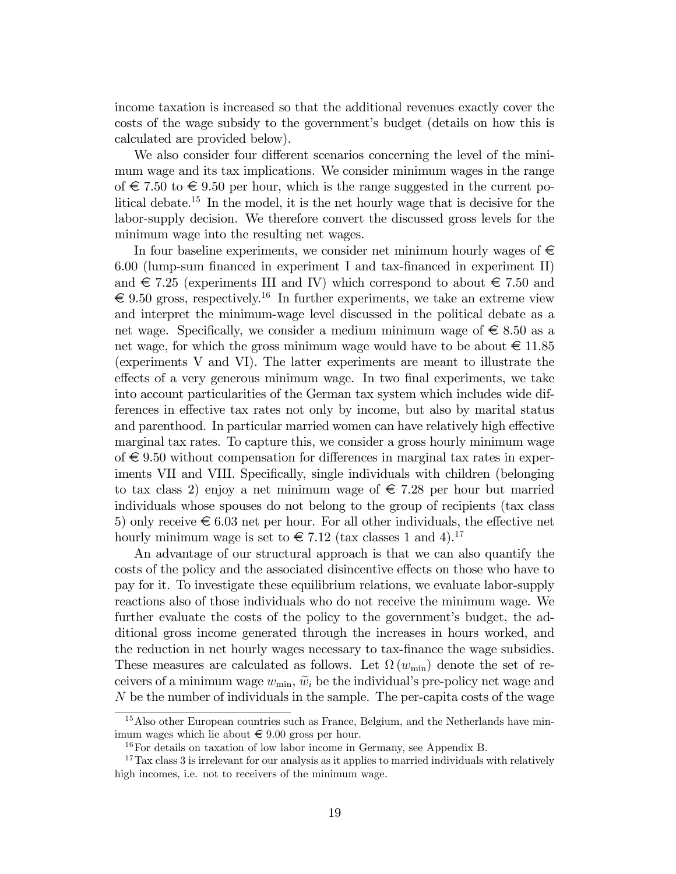income taxation is increased so that the additional revenues exactly cover the costs of the wage subsidy to the government's budget (details on how this is calculated are provided below).

We also consider four different scenarios concerning the level of the minimum wage and its tax implications. We consider minimum wages in the range of  $\epsilon$  7.50 to  $\epsilon$  9.50 per hour, which is the range suggested in the current political debate.<sup>15</sup> In the model, it is the net hourly wage that is decisive for the labor-supply decision. We therefore convert the discussed gross levels for the minimum wage into the resulting net wages.

In four baseline experiments, we consider net minimum hourly wages of  $\epsilon$ 6.00 (lump-sum financed in experiment I and tax-financed in experiment II) and  $\epsilon$  7.25 (experiments III and IV) which correspond to about  $\epsilon$  7.50 and  $\epsilon \in (9.50 \text{ gross}, \text{respectively.}^{16} \text{ In further experiments}, \text{ we take an extreme view}$ and interpret the minimum-wage level discussed in the political debate as a net wage. Specifically, we consider a medium minimum wage of  $\epsilon \leq 8.50$  as a net wage, for which the gross minimum wage would have to be about  $\epsilon \leq 11.85$ (experiments V and VI). The latter experiments are meant to illustrate the effects of a very generous minimum wage. In two final experiments, we take into account particularities of the German tax system which includes wide differences in effective tax rates not only by income, but also by marital status and parenthood. In particular married women can have relatively high effective marginal tax rates. To capture this, we consider a gross hourly minimum wage of  $\epsilon$  9.50 without compensation for differences in marginal tax rates in experiments VII and VIII. Specifically, single individuals with children (belonging to tax class 2) enjoy a net minimum wage of  $\epsilon$  7.28 per hour but married individuals whose spouses do not belong to the group of recipients (tax class 5) only receive  $\epsilon$  6.03 net per hour. For all other individuals, the effective net hourly minimum wage is set to  $\in 7.12$  (tax classes 1 and 4).<sup>17</sup>

An advantage of our structural approach is that we can also quantify the costs of the policy and the associated disincentive effects on those who have to pay for it. To investigate these equilibrium relations, we evaluate labor-supply reactions also of those individuals who do not receive the minimum wage. We further evaluate the costs of the policy to the government's budget, the additional gross income generated through the increases in hours worked, and the reduction in net hourly wages necessary to tax-Önance the wage subsidies. These measures are calculated as follows. Let  $\Omega(w_{\min})$  denote the set of receivers of a minimum wage  $w_{\min}$ ,  $\tilde{w}_i$  be the individual's pre-policy net wage and N be the number of individuals in the sample. The per-capita costs of the wage

<sup>&</sup>lt;sup>15</sup>Also other European countries such as France, Belgium, and the Netherlands have minimum wages which lie about  $\in$  9.00 gross per hour.

<sup>16</sup>For details on taxation of low labor income in Germany, see Appendix B.

<sup>&</sup>lt;sup>17</sup>Tax class 3 is irrelevant for our analysis as it applies to married individuals with relatively high incomes, i.e. not to receivers of the minimum wage.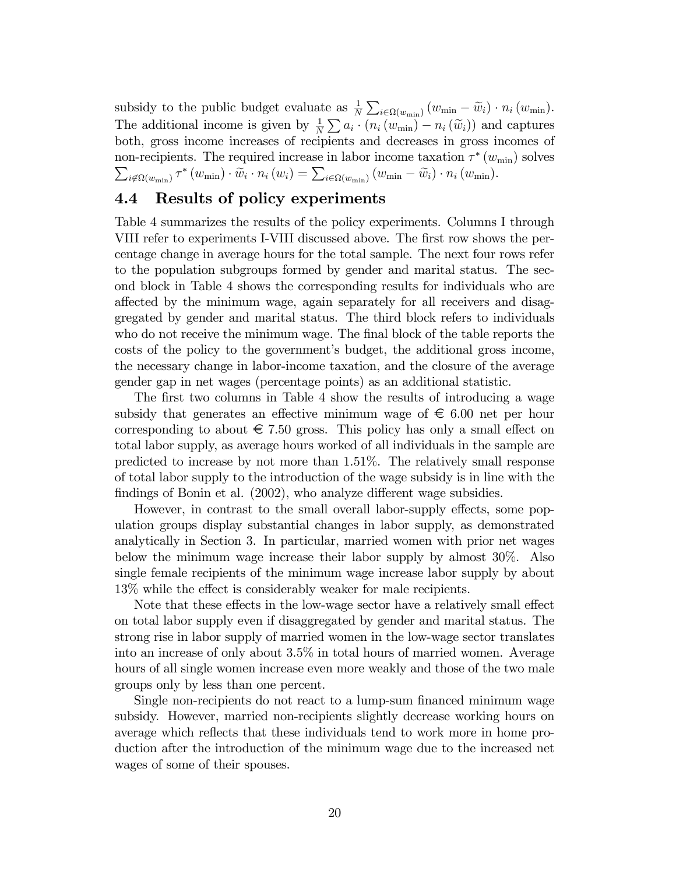subsidy to the public budget evaluate as  $\frac{1}{N} \sum_{i \in \Omega(w_{\min})} (w_{\min} - \widetilde{w}_i) \cdot n_i (w_{\min}).$ The additional income is given by  $\frac{1}{N} \sum a_i \cdot (n_i (w_{\min}) - n_i (\widetilde{w}_i))$  and captures both, gross income increases of recipients and decreases in gross incomes of non-recipients. The required increase in labor income taxation  $\tau^*(w_{\min})$  solves  $\sum_{i \notin \Omega(w_{\min})} \tau^*(w_{\min}) \cdot \widetilde{w}_i \cdot n_i(w_i) = \sum_{i \in \Omega(w_{\min})} (w_{\min} - \widetilde{w}_i) \cdot n_i(w_{\min}).$ 

## 4.4 Results of policy experiments

Table 4 summarizes the results of the policy experiments. Columns I through VIII refer to experiments I-VIII discussed above. The first row shows the percentage change in average hours for the total sample. The next four rows refer to the population subgroups formed by gender and marital status. The second block in Table 4 shows the corresponding results for individuals who are affected by the minimum wage, again separately for all receivers and disaggregated by gender and marital status. The third block refers to individuals who do not receive the minimum wage. The final block of the table reports the costs of the policy to the governmentís budget, the additional gross income, the necessary change in labor-income taxation, and the closure of the average gender gap in net wages (percentage points) as an additional statistic.

The first two columns in Table 4 show the results of introducing a wage subsidy that generates an effective minimum wage of  $\epsilon$  6.00 net per hour corresponding to about  $\epsilon$  7.50 gross. This policy has only a small effect on total labor supply, as average hours worked of all individuals in the sample are predicted to increase by not more than 1.51%. The relatively small response of total labor supply to the introduction of the wage subsidy is in line with the findings of Bonin et al. (2002), who analyze different wage subsidies.

However, in contrast to the small overall labor-supply effects, some population groups display substantial changes in labor supply, as demonstrated analytically in Section 3. In particular, married women with prior net wages below the minimum wage increase their labor supply by almost 30%. Also single female recipients of the minimum wage increase labor supply by about 13% while the effect is considerably weaker for male recipients.

Note that these effects in the low-wage sector have a relatively small effect on total labor supply even if disaggregated by gender and marital status. The strong rise in labor supply of married women in the low-wage sector translates into an increase of only about 3.5% in total hours of married women. Average hours of all single women increase even more weakly and those of the two male groups only by less than one percent.

Single non-recipients do not react to a lump-sum financed minimum wage subsidy. However, married non-recipients slightly decrease working hours on average which reflects that these individuals tend to work more in home production after the introduction of the minimum wage due to the increased net wages of some of their spouses.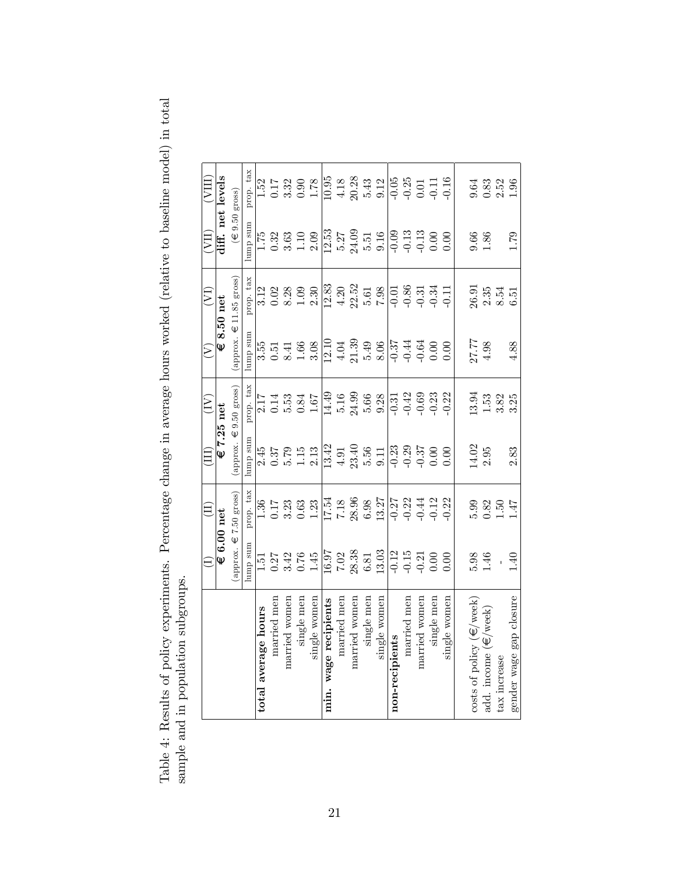|                                          | $\ominus$                                                                                                                                                                                                | $\widehat{\Xi}$                                                                | $\left( \Pi \right)$                            | $\left(\overline{\mathbf{N}}\right)$                                                                                        | $\widetilde{\Sigma}$                                                                                     | $(\overline{\Sigma})$                                                                                                                                                                                                                                                                                                                     | IIA)                                                                                                                                                                                                                                                                      | (VIII)                               |
|------------------------------------------|----------------------------------------------------------------------------------------------------------------------------------------------------------------------------------------------------------|--------------------------------------------------------------------------------|-------------------------------------------------|-----------------------------------------------------------------------------------------------------------------------------|----------------------------------------------------------------------------------------------------------|-------------------------------------------------------------------------------------------------------------------------------------------------------------------------------------------------------------------------------------------------------------------------------------------------------------------------------------------|---------------------------------------------------------------------------------------------------------------------------------------------------------------------------------------------------------------------------------------------------------------------------|--------------------------------------|
|                                          | € 6.00 net                                                                                                                                                                                               |                                                                                | $€7.25$ net                                     |                                                                                                                             | Ψ                                                                                                        | $8.50$ net                                                                                                                                                                                                                                                                                                                                |                                                                                                                                                                                                                                                                           | diff. net levels                     |
|                                          |                                                                                                                                                                                                          | approx. $\in$ 7.50 gross)                                                      |                                                 | (approx. $\in 9.50$ gross)                                                                                                  |                                                                                                          | (approx. $\in$ 11.85 gross)                                                                                                                                                                                                                                                                                                               | $(\in 9.50 \text{ gross})$                                                                                                                                                                                                                                                |                                      |
|                                          | coms dum                                                                                                                                                                                                 | prop. tax                                                                      | cans dum                                        | prop. tax                                                                                                                   | ans dum                                                                                                  | prop. tax                                                                                                                                                                                                                                                                                                                                 | amp sum                                                                                                                                                                                                                                                                   | prop. tax                            |
| total average hours                      |                                                                                                                                                                                                          |                                                                                |                                                 |                                                                                                                             |                                                                                                          |                                                                                                                                                                                                                                                                                                                                           |                                                                                                                                                                                                                                                                           |                                      |
| married men                              |                                                                                                                                                                                                          |                                                                                |                                                 |                                                                                                                             |                                                                                                          | $3.12$<br>$0.02$                                                                                                                                                                                                                                                                                                                          |                                                                                                                                                                                                                                                                           |                                      |
| married women                            | $1.51$<br>$0.27$<br>$0.42$<br>$0.76$<br>$1.45$                                                                                                                                                           | $1.36$<br>$1.7$<br>$3.33$<br>$0.63$                                            | $2.45$<br>$0.57$<br>$0.513$<br>$0.13$<br>$0.13$ | $2.17$<br>$0.53$<br>$0.84$                                                                                                  | $3.51$<br>$0.51$<br>$0.41$<br>$0.68$<br>$1.60$                                                           | $8.28$<br>1.09                                                                                                                                                                                                                                                                                                                            | $1.75$<br>$0.33$<br>$0.10$<br>$1.09$<br>$2.09$                                                                                                                                                                                                                            |                                      |
| single men                               |                                                                                                                                                                                                          |                                                                                |                                                 |                                                                                                                             |                                                                                                          |                                                                                                                                                                                                                                                                                                                                           |                                                                                                                                                                                                                                                                           |                                      |
| single women                             |                                                                                                                                                                                                          | 1.23                                                                           |                                                 | $1.67\,$                                                                                                                    |                                                                                                          | $2.30\,$                                                                                                                                                                                                                                                                                                                                  |                                                                                                                                                                                                                                                                           |                                      |
| min. wage recipients                     |                                                                                                                                                                                                          |                                                                                |                                                 | $\sqrt{14.49}$                                                                                                              |                                                                                                          |                                                                                                                                                                                                                                                                                                                                           |                                                                                                                                                                                                                                                                           |                                      |
| married men                              |                                                                                                                                                                                                          |                                                                                |                                                 |                                                                                                                             |                                                                                                          |                                                                                                                                                                                                                                                                                                                                           |                                                                                                                                                                                                                                                                           |                                      |
| married women                            | $\frac{16.97}{7.02}$<br>7.02<br>6.81                                                                                                                                                                     | $\frac{17.54}{7.18}$<br>$\frac{88.96}{6.98}$                                   |                                                 | $\begin{array}{c} 5.16 \\ 24.99 \\ 5.66 \\ 9.38 \end{array}$                                                                |                                                                                                          |                                                                                                                                                                                                                                                                                                                                           |                                                                                                                                                                                                                                                                           |                                      |
| single mer                               |                                                                                                                                                                                                          |                                                                                |                                                 |                                                                                                                             |                                                                                                          |                                                                                                                                                                                                                                                                                                                                           |                                                                                                                                                                                                                                                                           |                                      |
| single women                             | 13.03                                                                                                                                                                                                    | $\begin{array}{c} 13.27 \\ 13.27 \\ -0.21 \\ 44 \\ -0.12 \\ -0.22 \end{array}$ |                                                 |                                                                                                                             | $\frac{12.10}{4.04}$<br>$\frac{4.39}{5.49}$<br>$\frac{8.06}{8.06}$                                       | $\begin{array}{c c} 12.83 \\ 12.50 \\ 4.20 \\ 5.52 \\ 6.51 \\ -0.00 \\ -0.00 \\ -0.00 \\ -0.00 \\ -0.00 \\ -0.00 \\ -0.00 \\ -0.00 \\ -0.00 \\ -0.00 \\ -0.00 \\ -0.00 \\ -0.00 \\ -0.00 \\ -0.00 \\ -0.00 \\ -0.00 \\ -0.00 \\ -0.00 \\ -0.00 \\ -0.00 \\ -0.00 \\ -0.00 \\ -0.00 \\ -0.00 \\ -0.00 \\ -0.00 \\ -0.00 \\ -0.00 \\ -0.00$ | $\frac{1}{12}$ , $\frac{5}{5}$ , $\frac{27}{5}$ , $\frac{1}{5}$ , $\frac{1}{5}$ , $\frac{6}{5}$ , $\frac{16}{5}$ , $\frac{16}{5}$ , $\frac{16}{5}$ , $\frac{16}{5}$ , $\frac{16}{5}$ , $\frac{16}{5}$ , $\frac{16}{5}$ , $\frac{16}{5}$ , $\frac{16}{5}$ , $\frac{16}{5}$ |                                      |
| non-recipients                           | $\frac{1}{2}$<br>$\frac{1}{2}$<br>$\frac{1}{2}$<br>$\frac{1}{2}$<br>$\frac{1}{2}$<br>$\frac{1}{2}$<br>$\frac{1}{2}$<br>$\frac{1}{2}$<br>$\frac{1}{2}$<br>$\frac{1}{2}$<br>$\frac{1}{2}$<br>$\frac{1}{2}$ |                                                                                |                                                 | $\begin{array}{c} \n\overline{31} \\ \overline{10}42 \\ \overline{10}69 \\ \overline{10}23 \\ \overline{10}22\n\end{array}$ |                                                                                                          |                                                                                                                                                                                                                                                                                                                                           |                                                                                                                                                                                                                                                                           |                                      |
| married men                              |                                                                                                                                                                                                          |                                                                                |                                                 |                                                                                                                             |                                                                                                          |                                                                                                                                                                                                                                                                                                                                           |                                                                                                                                                                                                                                                                           |                                      |
| married women                            |                                                                                                                                                                                                          |                                                                                |                                                 |                                                                                                                             |                                                                                                          |                                                                                                                                                                                                                                                                                                                                           |                                                                                                                                                                                                                                                                           |                                      |
| single men                               |                                                                                                                                                                                                          |                                                                                |                                                 |                                                                                                                             |                                                                                                          |                                                                                                                                                                                                                                                                                                                                           |                                                                                                                                                                                                                                                                           |                                      |
| single women                             |                                                                                                                                                                                                          |                                                                                |                                                 |                                                                                                                             | $\frac{1}{9}$<br>$\frac{37}{13}$<br>$\frac{44}{9}$<br>$\frac{64}{9}$<br>$\frac{60}{9}$<br>$\frac{60}{9}$ |                                                                                                                                                                                                                                                                                                                                           |                                                                                                                                                                                                                                                                           |                                      |
|                                          |                                                                                                                                                                                                          |                                                                                |                                                 |                                                                                                                             |                                                                                                          |                                                                                                                                                                                                                                                                                                                                           |                                                                                                                                                                                                                                                                           |                                      |
| costs of policy $(\infty/\mathrm{week})$ | $5.98$<br>$1.46$                                                                                                                                                                                         |                                                                                | 14.02                                           |                                                                                                                             | 27.77                                                                                                    |                                                                                                                                                                                                                                                                                                                                           | 9.66<br>1.86                                                                                                                                                                                                                                                              |                                      |
| add. income $(\epsilon/weck)$            |                                                                                                                                                                                                          | 5.99<br>0.82<br>1.47                                                           | $2.95\,$                                        | 3.<br>1.525<br>1.325                                                                                                        | $4.98\,$                                                                                                 | $\begin{array}{c} 26.91 \\ 2.35 \\ 2.35 \\ 8.51 \\ \end{array}$                                                                                                                                                                                                                                                                           |                                                                                                                                                                                                                                                                           | $0.83$<br>$0.83$<br>$0.58$<br>$1.96$ |
| tax increase                             | $\bar{1}$                                                                                                                                                                                                |                                                                                |                                                 |                                                                                                                             |                                                                                                          |                                                                                                                                                                                                                                                                                                                                           |                                                                                                                                                                                                                                                                           |                                      |
| gender wage gap closure                  | 1.40                                                                                                                                                                                                     |                                                                                | 2.83                                            |                                                                                                                             | 4.88                                                                                                     |                                                                                                                                                                                                                                                                                                                                           | 1.79                                                                                                                                                                                                                                                                      |                                      |

Table 4: Results of policy experiments. Percentage change in average hours worked (relative to baseline model) in total Table 4: Results of policy experiments. Percentage change in average hours worked (relative to baseline model) in total sample and in population subgroups. sample and in population subgroups.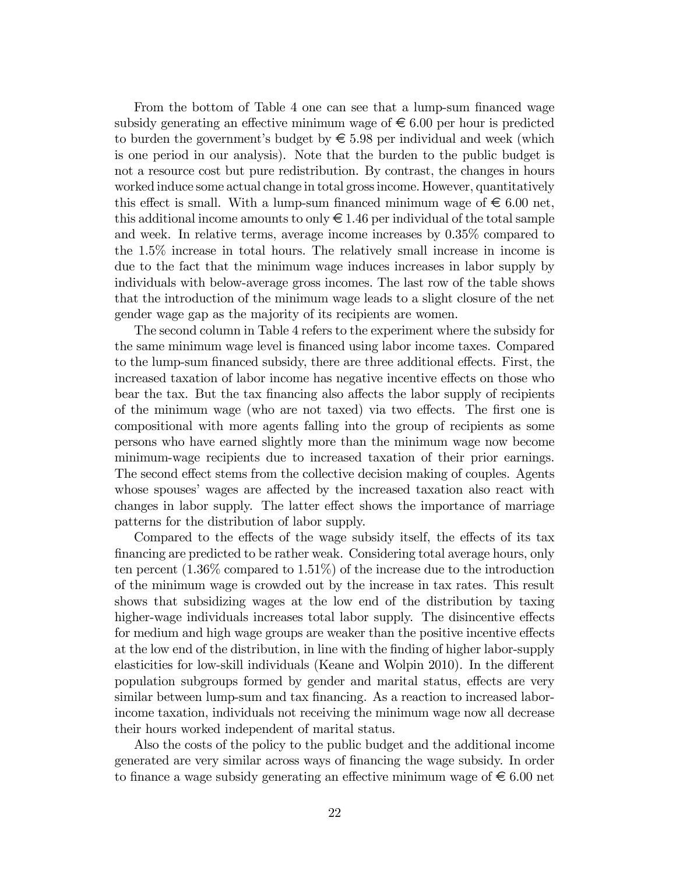From the bottom of Table 4 one can see that a lump-sum financed wage subsidy generating an effective minimum wage of  $\epsilon$  6.00 per hour is predicted to burden the government's budget by  $\epsilon$  5.98 per individual and week (which is one period in our analysis). Note that the burden to the public budget is not a resource cost but pure redistribution. By contrast, the changes in hours worked induce some actual change in total gross income. However, quantitatively this effect is small. With a lump-sum financed minimum wage of  $\epsilon \leq 6.00$  net, this additional income amounts to only  $\epsilon \in 1.46$  per individual of the total sample and week. In relative terms, average income increases by 0.35% compared to the 1.5% increase in total hours. The relatively small increase in income is due to the fact that the minimum wage induces increases in labor supply by individuals with below-average gross incomes. The last row of the table shows that the introduction of the minimum wage leads to a slight closure of the net gender wage gap as the majority of its recipients are women.

The second column in Table 4 refers to the experiment where the subsidy for the same minimum wage level is Önanced using labor income taxes. Compared to the lump-sum financed subsidy, there are three additional effects. First, the increased taxation of labor income has negative incentive effects on those who bear the tax. But the tax financing also affects the labor supply of recipients of the minimum wage (who are not taxed) via two effects. The first one is compositional with more agents falling into the group of recipients as some persons who have earned slightly more than the minimum wage now become minimum-wage recipients due to increased taxation of their prior earnings. The second effect stems from the collective decision making of couples. Agents whose spouses' wages are affected by the increased taxation also react with changes in labor supply. The latter effect shows the importance of marriage patterns for the distribution of labor supply.

Compared to the effects of the wage subsidy itself, the effects of its tax Önancing are predicted to be rather weak. Considering total average hours, only ten percent (1.36% compared to 1.51%) of the increase due to the introduction of the minimum wage is crowded out by the increase in tax rates. This result shows that subsidizing wages at the low end of the distribution by taxing higher-wage individuals increases total labor supply. The disincentive effects for medium and high wage groups are weaker than the positive incentive effects at the low end of the distribution, in line with the finding of higher labor-supply elasticities for low-skill individuals (Keane and Wolpin 2010). In the different population subgroups formed by gender and marital status, effects are very similar between lump-sum and tax financing. As a reaction to increased laborincome taxation, individuals not receiving the minimum wage now all decrease their hours worked independent of marital status.

Also the costs of the policy to the public budget and the additional income generated are very similar across ways of Önancing the wage subsidy. In order to finance a wage subsidy generating an effective minimum wage of  $\epsilon \leq 6.00$  net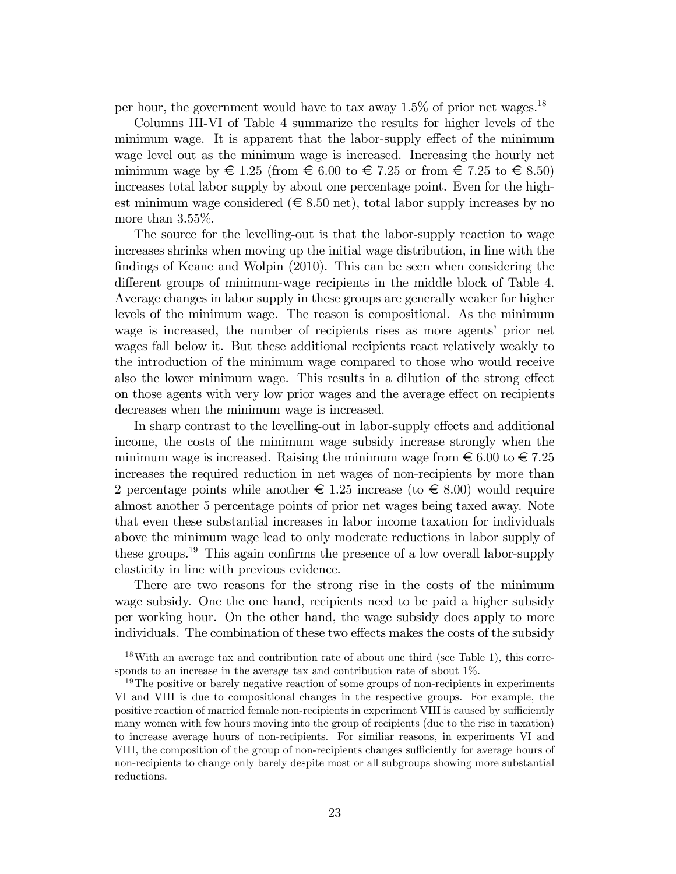per hour, the government would have to tax away  $1.5\%$  of prior net wages.<sup>18</sup>

Columns III-VI of Table 4 summarize the results for higher levels of the minimum wage. It is apparent that the labor-supply effect of the minimum wage level out as the minimum wage is increased. Increasing the hourly net minimum wage by  $\in$  1.25 (from  $\in$  6.00 to  $\in$  7.25 or from  $\in$  7.25 to  $\in$  8.50) increases total labor supply by about one percentage point. Even for the highest minimum wage considered ( $\in$  8.50 net), total labor supply increases by no more than 3.55%.

The source for the levelling-out is that the labor-supply reaction to wage increases shrinks when moving up the initial wage distribution, in line with the findings of Keane and Wolpin (2010). This can be seen when considering the different groups of minimum-wage recipients in the middle block of Table 4. Average changes in labor supply in these groups are generally weaker for higher levels of the minimum wage. The reason is compositional. As the minimum wage is increased, the number of recipients rises as more agents' prior net wages fall below it. But these additional recipients react relatively weakly to the introduction of the minimum wage compared to those who would receive also the lower minimum wage. This results in a dilution of the strong effect on those agents with very low prior wages and the average effect on recipients decreases when the minimum wage is increased.

In sharp contrast to the levelling-out in labor-supply effects and additional income, the costs of the minimum wage subsidy increase strongly when the minimum wage is increased. Raising the minimum wage from  $\epsilon$  6.00 to  $\epsilon$  7.25 increases the required reduction in net wages of non-recipients by more than 2 percentage points while another  $\epsilon \in 1.25$  increase (to  $\epsilon \in 8.00$ ) would require almost another 5 percentage points of prior net wages being taxed away. Note that even these substantial increases in labor income taxation for individuals above the minimum wage lead to only moderate reductions in labor supply of these groups.<sup>19</sup> This again confirms the presence of a low overall labor-supply elasticity in line with previous evidence.

There are two reasons for the strong rise in the costs of the minimum wage subsidy. One the one hand, recipients need to be paid a higher subsidy per working hour. On the other hand, the wage subsidy does apply to more individuals. The combination of these two effects makes the costs of the subsidy

<sup>18</sup>With an average tax and contribution rate of about one third (see Table 1), this corresponds to an increase in the average tax and contribution rate of about 1%.

<sup>&</sup>lt;sup>19</sup>The positive or barely negative reaction of some groups of non-recipients in experiments VI and VIII is due to compositional changes in the respective groups. For example, the positive reaction of married female non-recipients in experiment VIII is caused by sufficiently many women with few hours moving into the group of recipients (due to the rise in taxation) to increase average hours of non-recipients. For similiar reasons, in experiments VI and VIII, the composition of the group of non-recipients changes sufficiently for average hours of non-recipients to change only barely despite most or all subgroups showing more substantial reductions.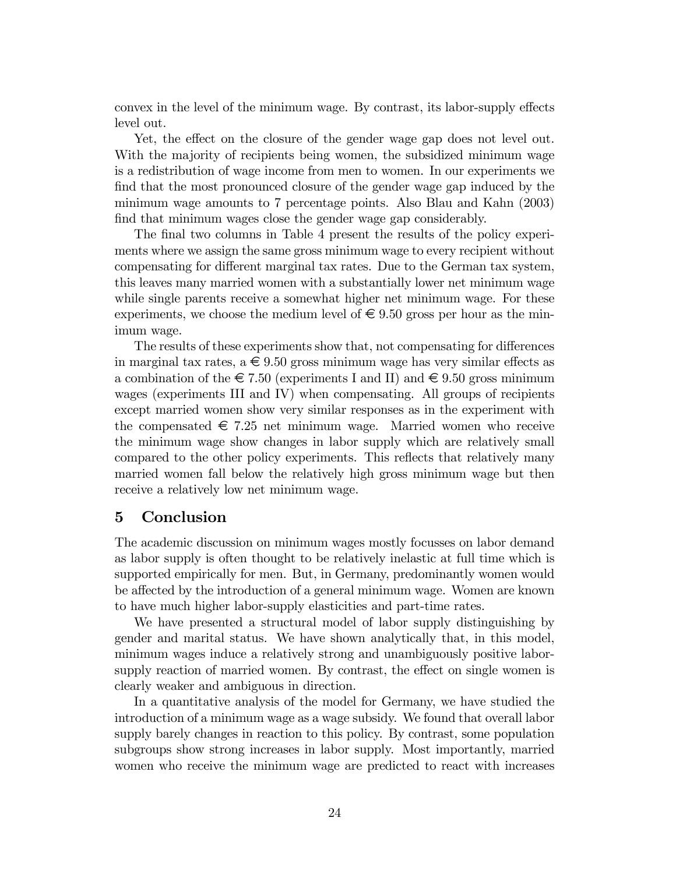convex in the level of the minimum wage. By contrast, its labor-supply effects level out.

Yet, the effect on the closure of the gender wage gap does not level out. With the majority of recipients being women, the subsidized minimum wage is a redistribution of wage income from men to women. In our experiments we find that the most pronounced closure of the gender wage gap induced by the minimum wage amounts to 7 percentage points. Also Blau and Kahn (2003) find that minimum wages close the gender wage gap considerably.

The final two columns in Table 4 present the results of the policy experiments where we assign the same gross minimum wage to every recipient without compensating for different marginal tax rates. Due to the German tax system, this leaves many married women with a substantially lower net minimum wage while single parents receive a somewhat higher net minimum wage. For these experiments, we choose the medium level of  $\epsilon \in 9.50$  gross per hour as the minimum wage.

The results of these experiments show that, not compensating for differences in marginal tax rates, a  $\epsilon \in 9.50$  gross minimum wage has very similar effects as a combination of the  $\in 7.50$  (experiments I and II) and  $\in 9.50$  gross minimum wages (experiments III and IV) when compensating. All groups of recipients except married women show very similar responses as in the experiment with the compensated  $\epsilon$  7.25 net minimum wage. Married women who receive the minimum wage show changes in labor supply which are relatively small compared to the other policy experiments. This reflects that relatively many married women fall below the relatively high gross minimum wage but then receive a relatively low net minimum wage.

## 5 Conclusion

The academic discussion on minimum wages mostly focusses on labor demand as labor supply is often thought to be relatively inelastic at full time which is supported empirically for men. But, in Germany, predominantly women would be affected by the introduction of a general minimum wage. Women are known to have much higher labor-supply elasticities and part-time rates.

We have presented a structural model of labor supply distinguishing by gender and marital status. We have shown analytically that, in this model, minimum wages induce a relatively strong and unambiguously positive laborsupply reaction of married women. By contrast, the effect on single women is clearly weaker and ambiguous in direction.

In a quantitative analysis of the model for Germany, we have studied the introduction of a minimum wage as a wage subsidy. We found that overall labor supply barely changes in reaction to this policy. By contrast, some population subgroups show strong increases in labor supply. Most importantly, married women who receive the minimum wage are predicted to react with increases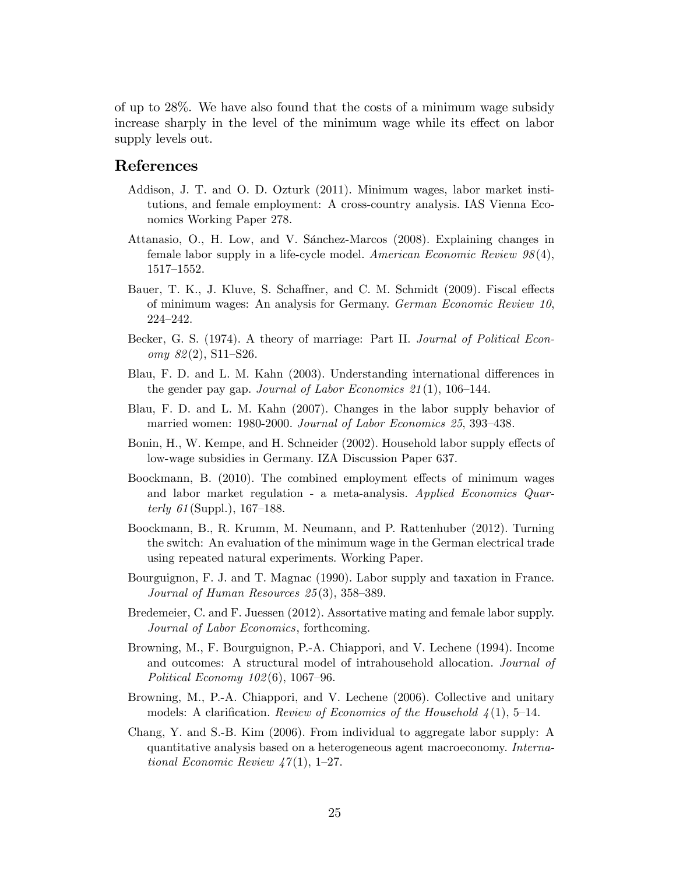of up to 28%. We have also found that the costs of a minimum wage subsidy increase sharply in the level of the minimum wage while its effect on labor supply levels out.

#### References

- Addison, J. T. and O. D. Ozturk (2011). Minimum wages, labor market institutions, and female employment: A cross-country analysis. IAS Vienna Economics Working Paper 278.
- Attanasio, O., H. Low, and V. Sánchez-Marcos (2008). Explaining changes in female labor supply in a life-cycle model. American Economic Review 98 (4), 1517-1552.
- Bauer, T. K., J. Kluve, S. Schaffner, and C. M. Schmidt (2009). Fiscal effects of minimum wages: An analysis for Germany. German Economic Review 10, 224-242.
- Becker, G. S. (1974). A theory of marriage: Part II. Journal of Political Econ $omy 82(2), S11–S26.$
- Blau, F. D. and L. M. Kahn (2003). Understanding international differences in the gender pay gap. Journal of Labor Economics  $21(1)$ , 106–144.
- Blau, F. D. and L. M. Kahn (2007). Changes in the labor supply behavior of married women: 1980-2000. Journal of Labor Economics 25, 393-438.
- Bonin, H., W. Kempe, and H. Schneider (2002). Household labor supply effects of low-wage subsidies in Germany. IZA Discussion Paper 637.
- Boockmann, B. (2010). The combined employment effects of minimum wages and labor market regulation - a meta-analysis. Applied Economics Quarterly  $61$  (Suppl.), 167–188.
- Boockmann, B., R. Krumm, M. Neumann, and P. Rattenhuber (2012). Turning the switch: An evaluation of the minimum wage in the German electrical trade using repeated natural experiments. Working Paper.
- Bourguignon, F. J. and T. Magnac (1990). Labor supply and taxation in France. Journal of Human Resources  $25(3)$ ,  $358-389$ .
- Bredemeier, C. and F. Juessen (2012). Assortative mating and female labor supply. Journal of Labor Economics, forthcoming.
- Browning, M., F. Bourguignon, P.-A. Chiappori, and V. Lechene (1994). Income and outcomes: A structural model of intrahousehold allocation. Journal of Political Economy  $102(6)$ , 1067–96.
- Browning, M., P.-A. Chiappori, and V. Lechene (2006). Collective and unitary models: A clarification. Review of Economics of the Household  $\frac{1}{4}(1)$ , 5–14.
- Chang, Y. and S.-B. Kim (2006). From individual to aggregate labor supply: A quantitative analysis based on a heterogeneous agent macroeconomy. International Economic Review  $47(1), 1-27.$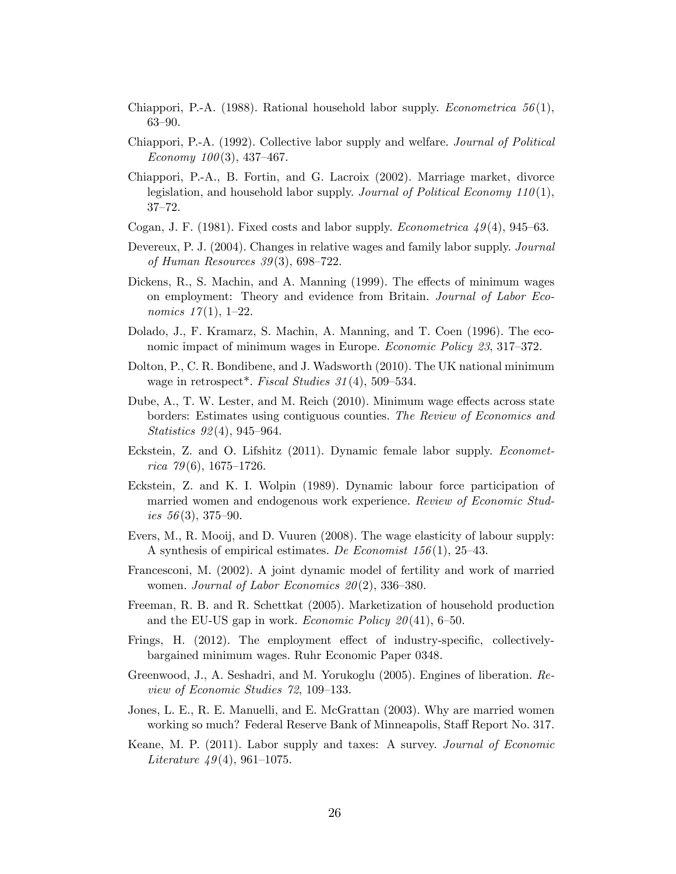Chiappori, P.-A. (1988). Rational household labor supply. *Econometrica* 56(1),  $63 - 90.$ 

- Chiappori, P.-A. (1992). Collective labor supply and welfare. Journal of Political Economy  $100(3)$ , 437-467.
- Chiappori, P.-A., B. Fortin, and G. Lacroix (2002). Marriage market, divorce legislation, and household labor supply. Journal of Political Economy  $110(1)$ ,  $37 - 72.$
- Cogan, J. F. (1981). Fixed costs and labor supply. *Econometrica*  $49(4)$ , 945–63.
- Devereux, P. J. (2004). Changes in relative wages and family labor supply. Journal of Human Resources  $39(3)$ , 698–722.
- Dickens, R., S. Machin, and A. Manning  $(1999)$ . The effects of minimum wages on employment: Theory and evidence from Britain. Journal of Labor Economics  $17(1)$ , 1-22.
- Dolado, J., F. Kramarz, S. Machin, A. Manning, and T. Coen (1996). The economic impact of minimum wages in Europe. *Economic Policy 23*, 317–372.
- Dolton, P., C. R. Bondibene, and J. Wadsworth (2010). The UK national minimum wage in retrospect<sup>\*</sup>. Fiscal Studies  $31(4)$ , 509-534.
- Dube, A., T. W. Lester, and M. Reich (2010). Minimum wage effects across state borders: Estimates using contiguous counties. The Review of Economics and Statistics  $92(4)$ , 945–964.
- Eckstein, Z. and O. Lifshitz (2011). Dynamic female labor supply. Econometrica  $79(6)$ , 1675–1726.
- Eckstein, Z. and K. I. Wolpin (1989). Dynamic labour force participation of married women and endogenous work experience. Review of Economic Studies  $56(3)$ , 375–90.
- Evers, M., R. Mooij, and D. Vuuren (2008). The wage elasticity of labour supply: A synthesis of empirical estimates. De Economist  $156(1)$ , 25–43.
- Francesconi, M. (2002). A joint dynamic model of fertility and work of married women. Journal of Labor Economics  $20(2)$ , 336–380.
- Freeman, R. B. and R. Schettkat (2005). Marketization of household production and the EU-US gap in work. *Economic Policy*  $20(41)$ , 6–50.
- Frings, H.  $(2012)$ . The employment effect of industry-specific, collectivelybargained minimum wages. Ruhr Economic Paper 0348.
- Greenwood, J., A. Seshadri, and M. Yorukoglu (2005). Engines of liberation. Review of Economic Studies 72, 109–133.
- Jones, L. E., R. E. Manuelli, and E. McGrattan (2003). Why are married women working so much? Federal Reserve Bank of Minneapolis, Staff Report No. 317.
- Keane, M. P. (2011). Labor supply and taxes: A survey. Journal of Economic Literature  $49(4)$ , 961–1075.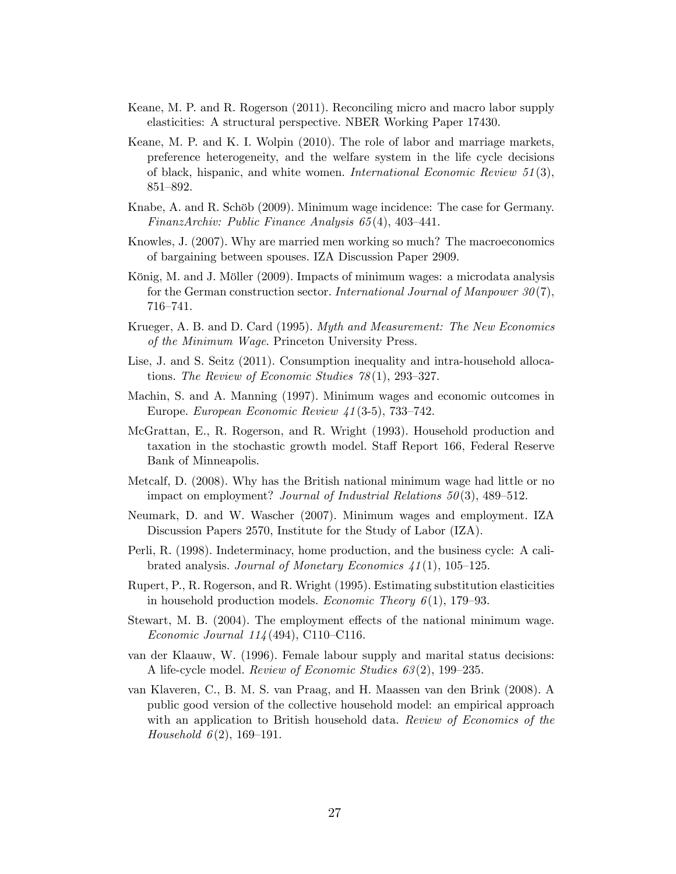- Keane, M. P. and R. Rogerson (2011). Reconciling micro and macro labor supply elasticities: A structural perspective. NBER Working Paper 17430.
- Keane, M. P. and K. I. Wolpin (2010). The role of labor and marriage markets, preference heterogeneity, and the welfare system in the life cycle decisions of black, hispanic, and white women. International Economic Review  $51(3)$ , 851-892.
- Knabe, A. and R. Schöb (2009). Minimum wage incidence: The case for Germany. FinanzArchiv: Public Finance Analysis  $65(4)$ , 403-441.
- Knowles, J. (2007). Why are married men working so much? The macroeconomics of bargaining between spouses. IZA Discussion Paper 2909.
- König, M. and J. Möller (2009). Impacts of minimum wages: a microdata analysis for the German construction sector. International Journal of Manpower  $30(7)$ , 716–741.
- Krueger, A. B. and D. Card (1995). Myth and Measurement: The New Economics of the Minimum Wage. Princeton University Press.
- Lise, J. and S. Seitz (2011). Consumption inequality and intra-household allocations. The Review of Economic Studies  $78(1)$ , 293-327.
- Machin, S. and A. Manning (1997). Minimum wages and economic outcomes in Europe. European Economic Review  $\mu$ 1(3-5), 733–742.
- McGrattan, E., R. Rogerson, and R. Wright (1993). Household production and taxation in the stochastic growth model. Staff Report 166, Federal Reserve Bank of Minneapolis.
- Metcalf, D. (2008). Why has the British national minimum wage had little or no impact on employment? Journal of Industrial Relations  $50(3)$ , 489–512.
- Neumark, D. and W. Wascher (2007). Minimum wages and employment. IZA Discussion Papers 2570, Institute for the Study of Labor (IZA).
- Perli, R. (1998). Indeterminacy, home production, and the business cycle: A calibrated analysis. Journal of Monetary Economics  $41(1)$ , 105–125.
- Rupert, P., R. Rogerson, and R. Wright (1995). Estimating substitution elasticities in household production models. Economic Theory  $6(1)$ , 179-93.
- Stewart, M. B. (2004). The employment effects of the national minimum wage. Economic Journal  $114(494)$ , C110–C116.
- van der Klaauw, W. (1996). Female labour supply and marital status decisions: A life-cycle model. Review of Economic Studies  $63(2)$ , 199–235.
- van Klaveren, C., B. M. S. van Praag, and H. Maassen van den Brink (2008). A public good version of the collective household model: an empirical approach with an application to British household data. Review of Economics of the *Household*  $6(2)$ , 169–191.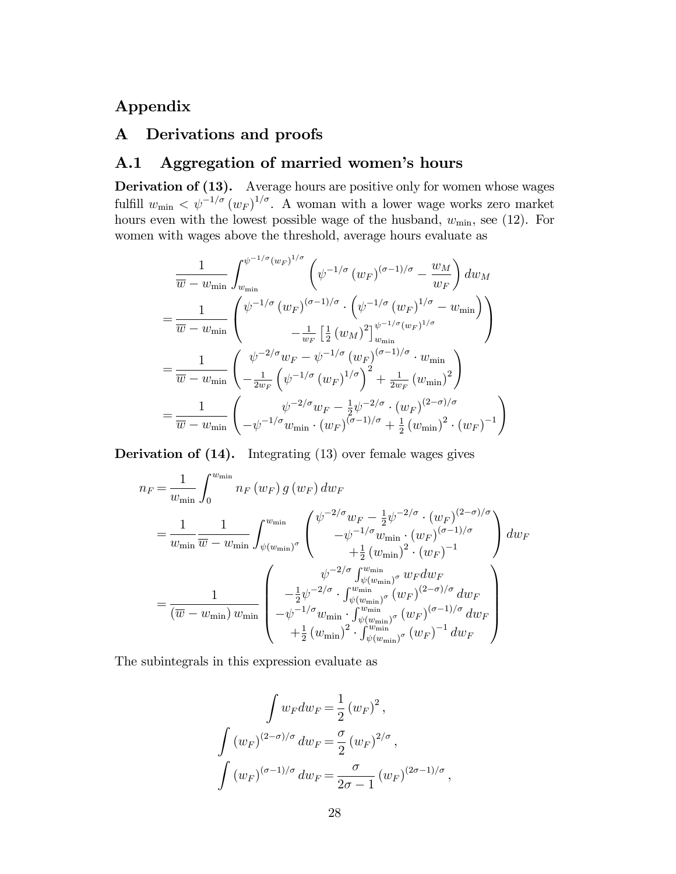## Appendix

## A Derivations and proofs

## A.1 Aggregation of married women's hours

Derivation of (13). Average hours are positive only for women whose wages fulfill  $w_{\min} < \psi^{-1/\sigma} (w_F)^{1/\sigma}$ . A woman with a lower wage works zero market hours even with the lowest possible wage of the husband,  $w_{\min}$ , see (12). For women with wages above the threshold, average hours evaluate as

$$
\frac{1}{\overline{w} - w_{\min}} \int_{w_{\min}}^{\psi^{-1/\sigma} (w_F)^{1/\sigma}} \left( \psi^{-1/\sigma} (w_F)^{(\sigma - 1)/\sigma} - \frac{w_M}{w_F} \right) dw_M
$$
\n
$$
= \frac{1}{\overline{w} - w_{\min}} \begin{pmatrix} \psi^{-1/\sigma} (w_F)^{(\sigma - 1)/\sigma} \cdot \left( \psi^{-1/\sigma} (w_F)^{1/\sigma} - w_{\min} \right) \\ -\frac{1}{w_F} \left[ \frac{1}{2} (w_M)^2 \right]_{w_{\min}}^{\psi^{-1/\sigma} (w_F)^{1/\sigma}} \end{pmatrix}
$$
\n
$$
= \frac{1}{\overline{w} - w_{\min}} \begin{pmatrix} \psi^{-2/\sigma} w_F - \psi^{-1/\sigma} (w_F)^{(\sigma - 1)/\sigma} \cdot w_{\min} \\ -\frac{1}{2w_F} \left( \psi^{-1/\sigma} (w_F)^{1/\sigma} \right)^2 + \frac{1}{2w_F} (w_{\min})^2 \end{pmatrix}
$$
\n
$$
= \frac{1}{\overline{w} - w_{\min}} \begin{pmatrix} \psi^{-2/\sigma} w_F - \frac{1}{2} \psi^{-2/\sigma} \cdot (w_F)^{(2-\sigma)/\sigma} \\ -\psi^{-1/\sigma} w_{\min} \cdot (w_F)^{(\sigma - 1)/\sigma} + \frac{1}{2} (w_{\min})^2 \cdot (w_F)^{-1} \end{pmatrix}
$$

Derivation of (14). Integrating (13) over female wages gives

$$
n_F = \frac{1}{w_{\min}} \int_0^{w_{\min}} n_F(w_F) g(w_F) dw_F
$$
  
\n
$$
= \frac{1}{w_{\min}} \frac{1}{\overline{w} - w_{\min}} \int_{\psi(w_{\min})^{\sigma}}^{\psi_{\min}} \begin{pmatrix} \psi^{-2/\sigma} w_F - \frac{1}{2} \psi^{-2/\sigma} \cdot (w_F)^{(2-\sigma)/\sigma} \\ -\psi^{-1/\sigma} w_{\min} \cdot (w_F)^{(\sigma-1)/\sigma} \\ + \frac{1}{2} (w_{\min})^2 \cdot (w_F)^{-1} \end{pmatrix} dw_F
$$
  
\n
$$
= \frac{1}{(\overline{w} - w_{\min}) w_{\min}} \begin{pmatrix} \psi^{-2/\sigma} \int_{\psi(w_{\min})^{\sigma}}^{w_{\min}} w_F dw_F \\ -\frac{1}{2} \psi^{-2/\sigma} \cdot \int_{\psi(w_{\min})^{\sigma}}^{w_{\min}} (w_F)^{(2-\sigma)/\sigma} dw_F \\ -\psi^{-1/\sigma} w_{\min} \cdot \int_{\psi(w_{\min})^{\sigma}}^{w_{\min}} (w_F)^{(\sigma-1)/\sigma} dw_F \\ + \frac{1}{2} (w_{\min})^2 \cdot \int_{\psi(w_{\min})^{\sigma}}^{w_{\min}} (w_F)^{-1} dw_F \end{pmatrix}
$$

The subintegrals in this expression evaluate as

$$
\int w_F dw_F = \frac{1}{2} (w_F)^2,
$$
  

$$
\int (w_F)^{(2-\sigma)/\sigma} dw_F = \frac{\sigma}{2} (w_F)^{2/\sigma},
$$
  

$$
\int (w_F)^{(\sigma-1)/\sigma} dw_F = \frac{\sigma}{2\sigma - 1} (w_F)^{(2\sigma - 1)/\sigma},
$$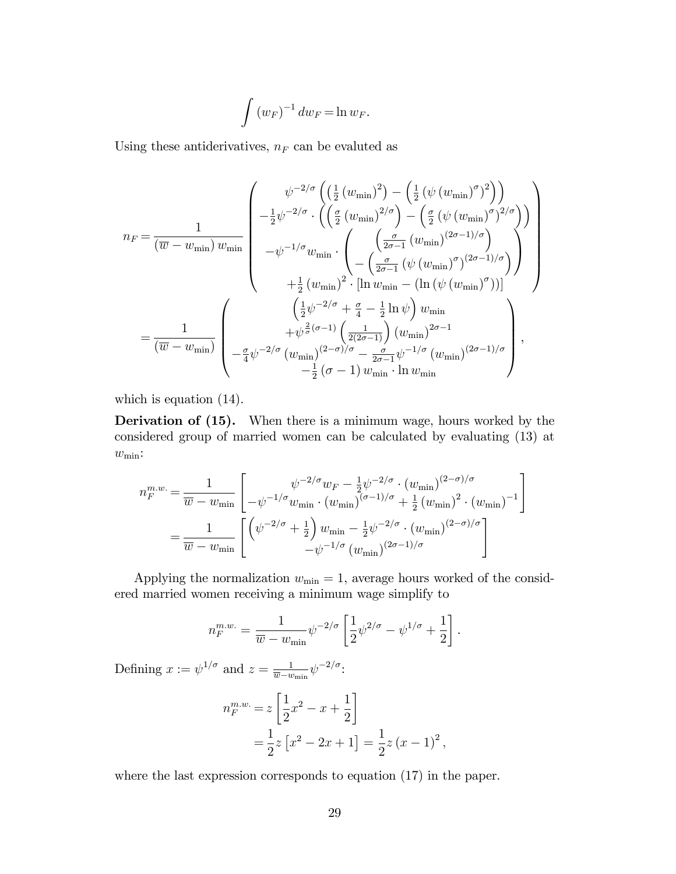$$
\int \left( w_F \right)^{-1} dw_F = \ln w_F.
$$

Using these antiderivatives,  $n_F$  can be evaluted as

$$
n_F = \frac{1}{(\overline{w} - w_{\min}) w_{\min}} \begin{pmatrix} \psi^{-2/\sigma} \left( \left( \frac{1}{2} \left( w_{\min} \right)^2 \right) - \left( \frac{1}{2} \left( \psi \left( w_{\min} \right)^{\sigma} \right)^2 \right) \right) \\ -\frac{1}{2} \psi^{-2/\sigma} \cdot \left( \left( \frac{\sigma}{2} \left( w_{\min} \right)^{2/\sigma} \right) - \left( \frac{\sigma}{2} \left( \psi \left( w_{\min} \right)^{\sigma} \right)^{2/\sigma} \right) \right) \\ -\psi^{-1/\sigma} w_{\min} \cdot \left( \frac{\left( \frac{\sigma}{2\sigma - 1} \left( w_{\min} \right)^{(2\sigma - 1)/\sigma} \right)}{\left( \frac{\sigma}{2\sigma - 1} \left( \psi \left( w_{\min} \right)^{\sigma} \right)^{(2\sigma - 1)/\sigma} \right)} \right) \\ +\frac{1}{2} \left( w_{\min} \right)^2 \cdot \left[ \ln w_{\min} - \left( \ln \left( \psi \left( w_{\min} \right)^{\sigma} \right) \right] \right) \\ +\frac{1}{2} \left( w_{\min} \right)^2 \cdot \left[ \ln w_{\min} - \left( \ln \left( \psi \left( w_{\min} \right)^{\sigma} \right) \right) \right] \end{pmatrix}
$$

$$
= \frac{1}{(\overline{w} - w_{\min})} \begin{pmatrix} \left( \frac{1}{2} \psi^{-2/\sigma} + \frac{\sigma}{4} - \frac{1}{2} \ln \psi \right) w_{\min} \\ +\psi^{\frac{2}{\sigma}(\sigma - 1)} \left( \frac{1}{2(2\sigma - 1)} \right) \left( w_{\min} \right)^{2\sigma - 1} \\ -\frac{\sigma}{4} \psi^{-2/\sigma} \left( w_{\min} \right)^{(2-\sigma)/\sigma} - \frac{\sigma}{2\sigma - 1} \psi^{-1/\sigma} \left( w_{\min} \right)^{(2\sigma - 1)/\sigma} \\ -\frac{1}{2} \left( \sigma - 1 \right) w_{\min} \cdot \ln w_{\min} \end{pmatrix},
$$

which is equation (14).

Derivation of  $(15)$ . When there is a minimum wage, hours worked by the considered group of married women can be calculated by evaluating (13) at  $w_{\min}$ :

$$
n_F^{m.w.} = \frac{1}{\overline{w} - w_{\min}} \left[ \begin{array}{c} \psi^{-2/\sigma} w_F - \frac{1}{2} \psi^{-2/\sigma} \cdot (w_{\min})^{(2-\sigma)/\sigma} \\ -\psi^{-1/\sigma} w_{\min} \cdot (w_{\min})^{(\sigma-1)/\sigma} + \frac{1}{2} (w_{\min})^2 \cdot (w_{\min})^{-1} \end{array} \right]
$$

$$
= \frac{1}{\overline{w} - w_{\min}} \left[ \begin{pmatrix} \psi^{-2/\sigma} + \frac{1}{2} \end{pmatrix} w_{\min} - \frac{1}{2} \psi^{-2/\sigma} \cdot (w_{\min})^{(2-\sigma)/\sigma} \\ -\psi^{-1/\sigma} (w_{\min})^{(2\sigma-1)/\sigma} \end{pmatrix}
$$

Applying the normalization  $w_{\text{min}} = 1$ , average hours worked of the considered married women receiving a minimum wage simplify to

$$
n_F^{m.w.} = \frac{1}{\overline{w} - w_{\min}} \psi^{-2/\sigma} \left[ \frac{1}{2} \psi^{2/\sigma} - \psi^{1/\sigma} + \frac{1}{2} \right].
$$

Defining  $x := \psi^{1/\sigma}$  and  $z = \frac{1}{\overline{w} - \overline{w}}$  $\frac{1}{\overline{w}-w_{\min}}\psi^{-2/\sigma}$ :

$$
n_F^{m.w.} = z \left[ \frac{1}{2} x^2 - x + \frac{1}{2} \right]
$$
  
=  $\frac{1}{2} z \left[ x^2 - 2x + 1 \right] = \frac{1}{2} z (x - 1)^2$ ,

where the last expression corresponds to equation (17) in the paper.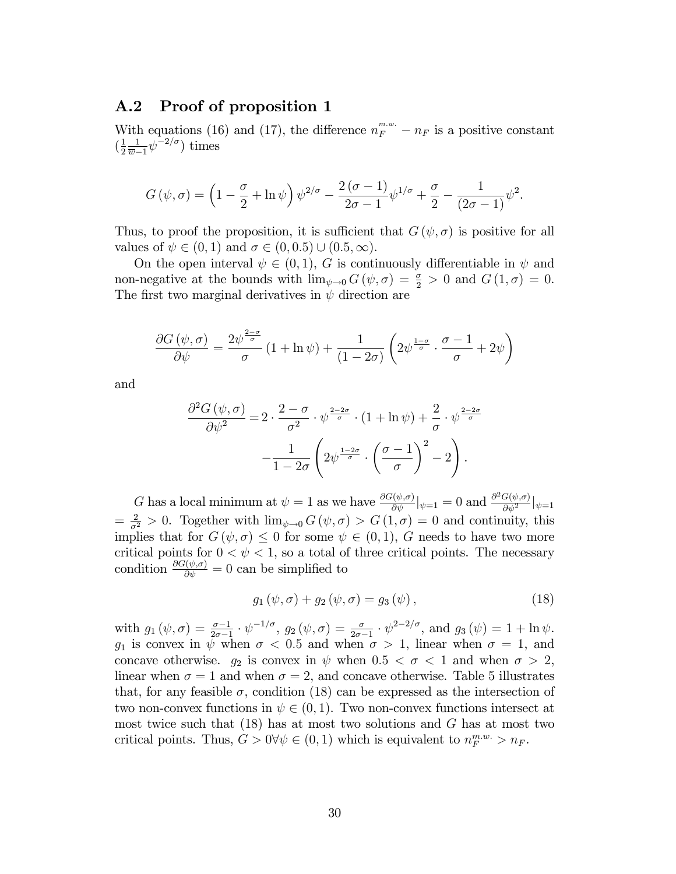#### A.2 Proof of proposition 1

With equations (16) and (17), the difference  $n_F^{m,w} - n_F$  is a positive constant  $\left(\frac{1}{2}\right)$ 2 1  $\frac{1}{\overline{w}-1}\psi^{-2/\sigma}$  times

$$
G(\psi, \sigma) = \left(1 - \frac{\sigma}{2} + \ln \psi\right) \psi^{2/\sigma} - \frac{2(\sigma - 1)}{2\sigma - 1} \psi^{1/\sigma} + \frac{\sigma}{2} - \frac{1}{(2\sigma - 1)} \psi^2.
$$

Thus, to proof the proposition, it is sufficient that  $G(\psi, \sigma)$  is positive for all values of  $\psi \in (0, 1)$  and  $\sigma \in (0, 0.5) \cup (0.5, \infty)$ .

On the open interval  $\psi \in (0, 1)$ , G is continuously differentiable in  $\psi$  and non-negative at the bounds with  $\lim_{\psi \to 0} G(\psi, \sigma) = \frac{\sigma}{2} > 0$  and  $G(1, \sigma) = 0$ . The first two marginal derivatives in  $\psi$  direction are

$$
\frac{\partial G(\psi,\sigma)}{\partial \psi} = \frac{2\psi^{\frac{2-\sigma}{\sigma}}}{\sigma} \left(1 + \ln \psi\right) + \frac{1}{(1-2\sigma)} \left(2\psi^{\frac{1-\sigma}{\sigma}} \cdot \frac{\sigma-1}{\sigma} + 2\psi\right)
$$

and

$$
\frac{\partial^2 G(\psi,\sigma)}{\partial \psi^2} = 2 \cdot \frac{2-\sigma}{\sigma^2} \cdot \psi^{\frac{2-2\sigma}{\sigma}} \cdot (1+\ln \psi) + \frac{2}{\sigma} \cdot \psi^{\frac{2-2\sigma}{\sigma}} - \frac{1}{1-2\sigma} \left(2\psi^{\frac{1-2\sigma}{\sigma}} \cdot \left(\frac{\sigma-1}{\sigma}\right)^2 - 2\right).
$$

G has a local minimum at  $\psi = 1$  as we have  $\frac{\partial G(\psi, \sigma)}{\partial \psi}|_{\psi=1} = 0$  and  $\frac{\partial^2 G(\psi, \sigma)}{\partial \psi^2}$  $\frac{\partial}{\partial \psi^2}$   $|\psi=1$  $=\frac{2}{\sigma^2} > 0$ . Together with  $\lim_{\psi \to 0} G(\psi, \sigma) > G(1, \sigma) = 0$  and continuity, this implies that for  $G(\psi, \sigma) \leq 0$  for some  $\psi \in (0, 1)$ , G needs to have two more critical points for  $0 < \psi < 1$ , so a total of three critical points. The necessary condition  $\frac{\partial G(\psi, \sigma)}{\partial \psi} = 0$  can be simplified to

$$
g_1(\psi, \sigma) + g_2(\psi, \sigma) = g_3(\psi), \qquad (18)
$$

with  $g_1(\psi, \sigma) = \frac{\sigma-1}{2\sigma-1} \cdot \psi^{-1/\sigma}, g_2(\psi, \sigma) = \frac{\sigma}{2\sigma-1} \cdot \psi^{2-2/\sigma}, \text{ and } g_3(\psi) = 1 + \ln \psi.$  $g_1$  is convex in  $\psi$  when  $\sigma < 0.5$  and when  $\sigma > 1$ , linear when  $\sigma = 1$ , and concave otherwise.  $g_2$  is convex in  $\psi$  when  $0.5 < \sigma < 1$  and when  $\sigma > 2$ , linear when  $\sigma = 1$  and when  $\sigma = 2$ , and concave otherwise. Table 5 illustrates that, for any feasible  $\sigma$ , condition (18) can be expressed as the intersection of two non-convex functions in  $\psi \in (0, 1)$ . Two non-convex functions intersect at most twice such that  $(18)$  has at most two solutions and G has at most two critical points. Thus,  $G > 0 \forall \psi \in (0, 1)$  which is equivalent to  $n_F^{m,w} > n_F$ .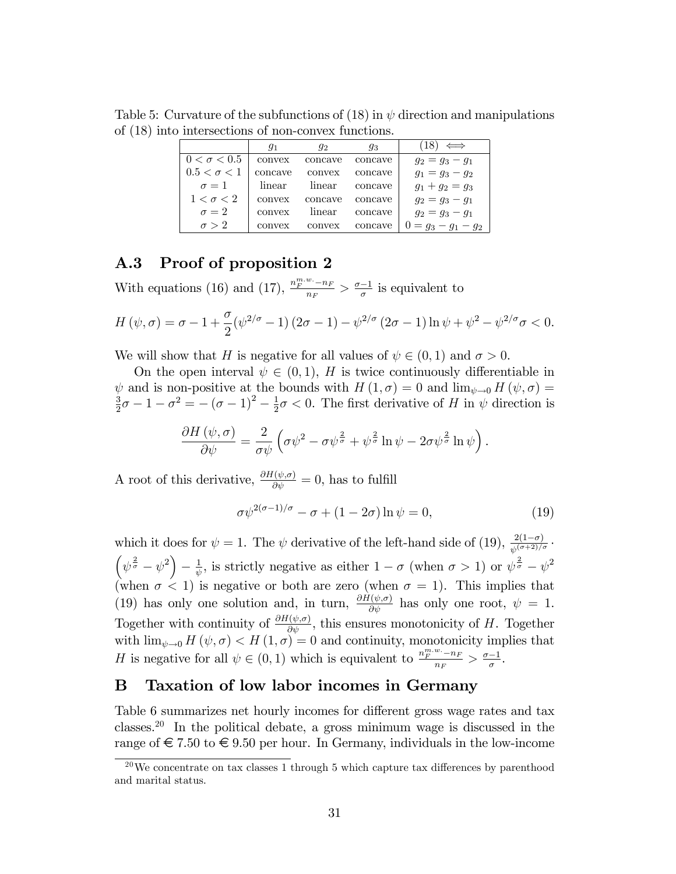Table 5: Curvature of the subfunctions of (18) in  $\psi$  direction and manipulations of (18) into intersections of non-convex functions.

|                    | 91      | $q_{2}$ | 93      | $\Longleftrightarrow$ |
|--------------------|---------|---------|---------|-----------------------|
| $0 < \sigma < 0.5$ | convex  | concave | concave | $q_2 = q_3 - q_1$     |
| $0.5 < \sigma < 1$ | concave | convex  | concave | $q_1 = q_3 - q_2$     |
| $\sigma = 1$       | linear  | linear  | concave | $g_1 + g_2 = g_3$     |
| $1 < \sigma < 2$   | convex  | concave | concave | $q_2 = q_3 - q_1$     |
| $\sigma = 2$       | convex  | linear  | concave | $g_2 = g_3 - g_1$     |
| $\sigma > 2$       | convex  | convex  | concave | $0 = g_3 - g_1 - g_2$ |

### A.3 Proof of proposition 2

With equations (16) and (17),  $\frac{n_F^{m.w.}-n_F}{n_E}$  $\frac{w_{\cdot - n_F}}{n_F} > \frac{\sigma - 1}{\sigma}$  is equivalent to

$$
H(\psi,\sigma) = \sigma - 1 + \frac{\sigma}{2}(\psi^{2/\sigma} - 1)(2\sigma - 1) - \psi^{2/\sigma}(2\sigma - 1)\ln\psi + \psi^2 - \psi^{2/\sigma}\sigma < 0.
$$

We will show that H is negative for all values of  $\psi \in (0, 1)$  and  $\sigma > 0$ .

On the open interval  $\psi \in (0, 1)$ , H is twice continuously differentiable in  $\psi$  and is non-positive at the bounds with  $H(1, \sigma) = 0$  and  $\lim_{\psi \to 0} H(\psi, \sigma) =$ 3  $\frac{3}{2}\sigma - 1 - \sigma^2 = -(\sigma - 1)^2 - \frac{1}{2}$  $\frac{1}{2}\sigma < 0$ . The first derivative of H in  $\psi$  direction is

$$
\frac{\partial H\left(\psi,\sigma\right)}{\partial\psi}=\frac{2}{\sigma\psi}\left(\sigma\psi^2-\sigma\psi^{\frac{2}{\sigma}}+\psi^{\frac{2}{\sigma}}\ln\psi-2\sigma\psi^{\frac{2}{\sigma}}\ln\psi\right).
$$

A root of this derivative,  $\frac{\partial H(\psi,\sigma)}{\partial \psi} = 0$ , has to fulfill

$$
\sigma \psi^{2(\sigma - 1)/\sigma} - \sigma + (1 - 2\sigma) \ln \psi = 0,
$$
\n(19)

which it does for  $\psi = 1$ . The  $\psi$  derivative of the left-hand side of (19),  $\frac{2(1-\sigma)}{\psi^{(\sigma+2)/\sigma}}$ .  $\left(\psi^{\frac{2}{\sigma}}-\psi^2\right)$  $-\frac{1}{\psi}$  $\frac{1}{\psi}$ , is strictly negative as either  $1 - \sigma$  (when  $\sigma > 1$ ) or  $\psi^{\frac{2}{\sigma}} - \psi^2$ (when  $\sigma$  < 1) is negative or both are zero (when  $\sigma = 1$ ). This implies that (19) has only one solution and, in turn,  $\frac{\partial H(\psi,\sigma)}{\partial \psi}$  has only one root,  $\psi = 1$ . Together with continuity of  $\frac{\partial H(\psi,\sigma)}{\partial \psi}$ , this ensures monotonicity of H. Together with  $\lim_{\psi \to 0} H(\psi, \sigma) < H(1, \sigma) = 0$  and continuity, monotonicity implies that H is negative for all  $\psi \in (0, 1)$  which is equivalent to  $\frac{n_F^{m.w.} - n_F^{m.w.}}{n_F}$  $\frac{w_{\cdot} - n_F}{n_F} > \frac{\sigma - 1}{\sigma}.$ 

## B Taxation of low labor incomes in Germany

Table 6 summarizes net hourly incomes for different gross wage rates and tax classes.<sup>20</sup> In the political debate, a gross minimum wage is discussed in the range of  $\in 7.50$  to  $\in 9.50$  per hour. In Germany, individuals in the low-income

<sup>&</sup>lt;sup>20</sup>We concentrate on tax classes 1 through 5 which capture tax differences by parenthood and marital status.